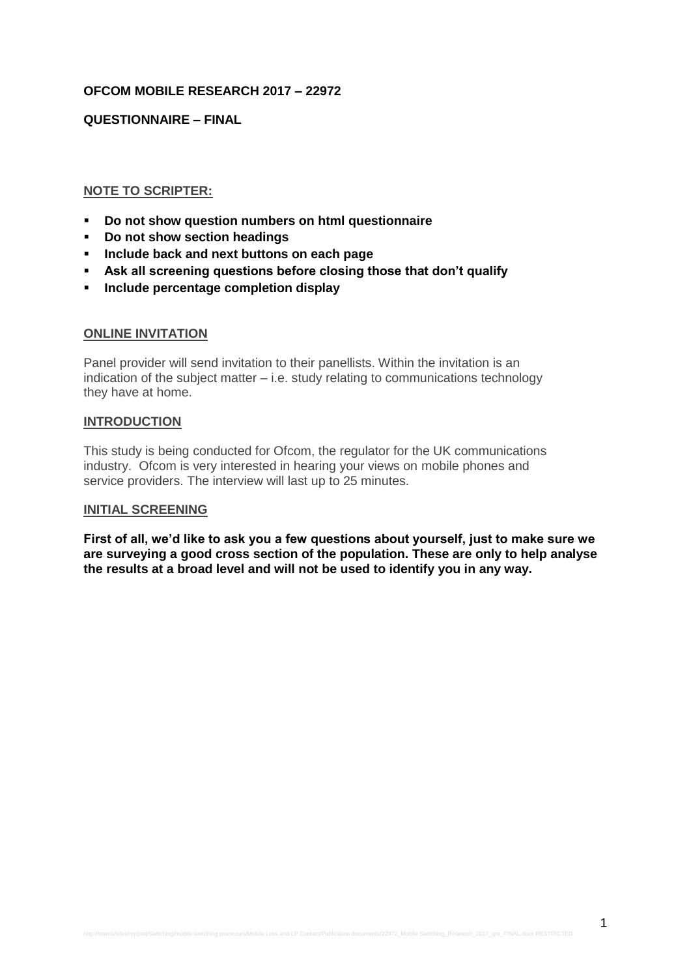# **OFCOM MOBILE RESEARCH 2017 – 22972**

### **QUESTIONNAIRE – FINAL**

### **NOTE TO SCRIPTER:**

- **Do not show question numbers on html questionnaire**
- **Do not show section headings**
- **Include back and next buttons on each page**
- **Ask all screening questions before closing those that don't qualify**
- **Include percentage completion display**

#### **ONLINE INVITATION**

Panel provider will send invitation to their panellists. Within the invitation is an indication of the subject matter – i.e. study relating to communications technology they have at home.

#### **INTRODUCTION**

This study is being conducted for Ofcom, the regulator for the UK communications industry. Ofcom is very interested in hearing your views on mobile phones and service providers. The interview will last up to 25 minutes.

#### **INITIAL SCREENING**

**First of all, we'd like to ask you a few questions about yourself, just to make sure we are surveying a good cross section of the population. These are only to help analyse the results at a broad level and will not be used to identify you in any way.**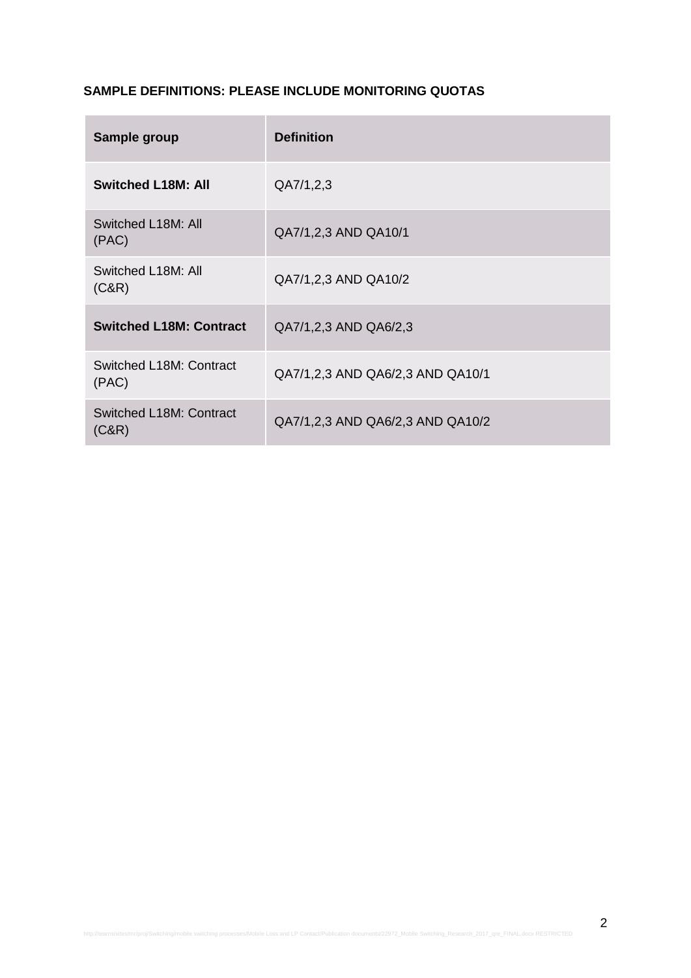# **SAMPLE DEFINITIONS: PLEASE INCLUDE MONITORING QUOTAS**

| Sample group                            | <b>Definition</b>                |
|-----------------------------------------|----------------------------------|
| <b>Switched L18M: All</b>               | QA7/1,2,3                        |
| Switched L18M: All<br>(PAC)             | QA7/1,2,3 AND QA10/1             |
| Switched L18M: All<br>(C&R)             | QA7/1,2,3 AND QA10/2             |
| <b>Switched L18M: Contract</b>          | QA7/1,2,3 AND QA6/2,3            |
| <b>Switched L18M: Contract</b><br>(PAC) | QA7/1,2,3 AND QA6/2,3 AND QA10/1 |
| <b>Switched L18M: Contract</b><br>(C&R) | QA7/1,2,3 AND QA6/2,3 AND QA10/2 |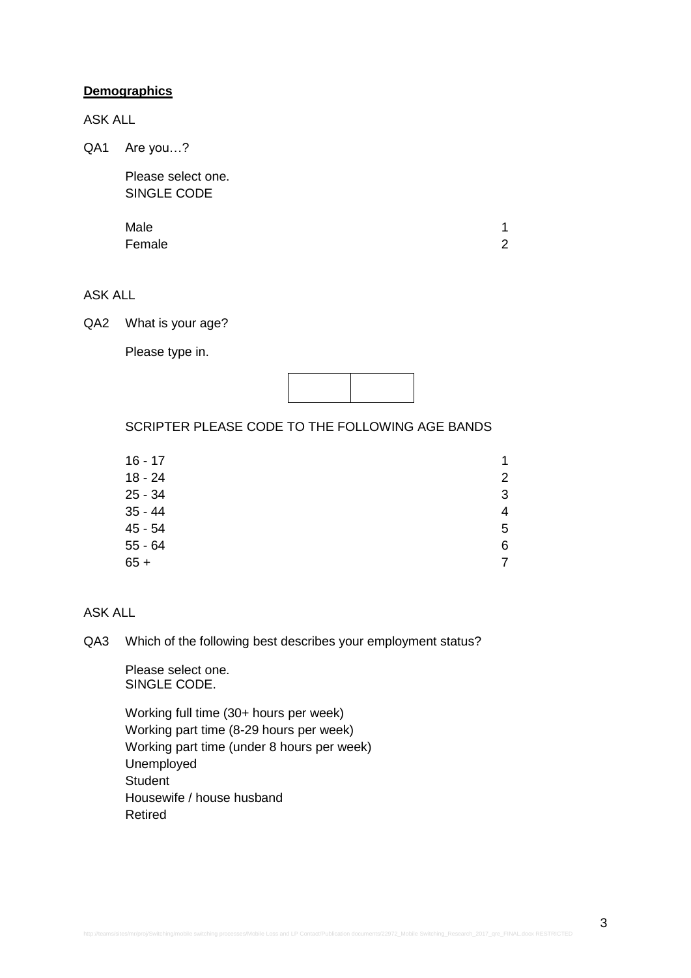### **Demographics**

ASK ALL

QA1 Are you...?

Please select one. SINGLE CODE

| Male   |  |
|--------|--|
| Female |  |

# ASK ALL

QA2 What is your age?

Please type in.



SCRIPTER PLEASE CODE TO THE FOLLOWING AGE BANDS

| $16 - 17$ | 1              |
|-----------|----------------|
| $18 - 24$ | $\overline{2}$ |
| 25 - 34   | 3              |
| $35 - 44$ | $\overline{4}$ |
| 45 - 54   | 5              |
| 55 - 64   | 6              |
| 65 +      | 7              |
|           |                |

### ASK ALL

QA3 Which of the following best describes your employment status?

Please select one. SINGLE CODE.

Working full time (30+ hours per week) Working part time (8-29 hours per week) Working part time (under 8 hours per week) Unemployed **Student** Housewife / house husband Retired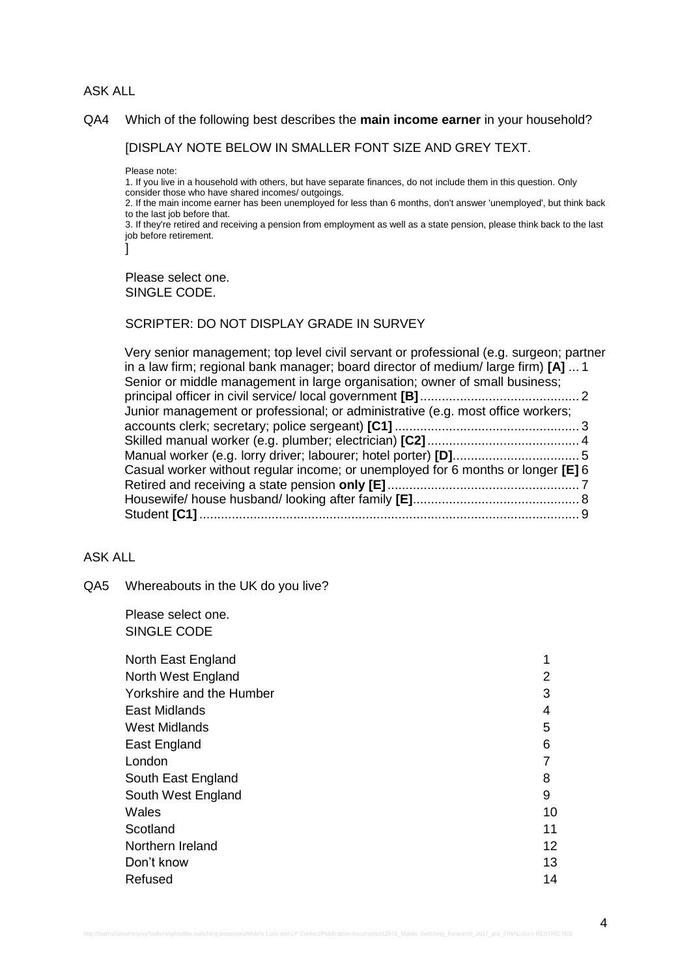### ASK ALL

#### QA4 Which of the following best describes the **main income earner** in your household?

[DISPLAY NOTE BELOW IN SMALLER FONT SIZE AND GREY TEXT.

Please note:

1. If you live in a household with others, but have separate finances, do not include them in this question. Only consider those who have shared incomes/ outgoings.

2. If the main income earner has been unemployed for less than 6 months, don't answer 'unemployed', but think back to the last job before that.

3. If they're retired and receiving a pension from employment as well as a state pension, please think back to the last job before retirement.

]

Please select one. SINGLE CODE.

#### SCRIPTER: DO NOT DISPLAY GRADE IN SURVEY

| Very senior management; top level civil servant or professional (e.g. surgeon; partner<br>in a law firm; regional bank manager; board director of medium/large firm) $[A]$ 1 |  |
|------------------------------------------------------------------------------------------------------------------------------------------------------------------------------|--|
| Senior or middle management in large organisation; owner of small business;                                                                                                  |  |
|                                                                                                                                                                              |  |
| Junior management or professional; or administrative (e.g. most office workers;                                                                                              |  |
|                                                                                                                                                                              |  |
|                                                                                                                                                                              |  |
|                                                                                                                                                                              |  |
| Casual worker without regular income; or unemployed for 6 months or longer [E] 6                                                                                             |  |
|                                                                                                                                                                              |  |
|                                                                                                                                                                              |  |
|                                                                                                                                                                              |  |
|                                                                                                                                                                              |  |

# ASK ALL

QA5 Whereabouts in the UK do you live?

Please select one. SINGLE CODE

| North East England       |    |
|--------------------------|----|
| North West England       |    |
| Yorkshire and the Humber | 3  |
| <b>East Midlands</b>     | 4  |
| <b>West Midlands</b>     | 5  |
| East England             | 6  |
| London                   |    |
| South East England       | 8  |
| South West England       | 9  |
| Wales                    | 10 |
| Scotland                 | 11 |
| Northern Ireland         | 12 |
| Don't know               | 13 |
| Refused                  | 14 |
|                          |    |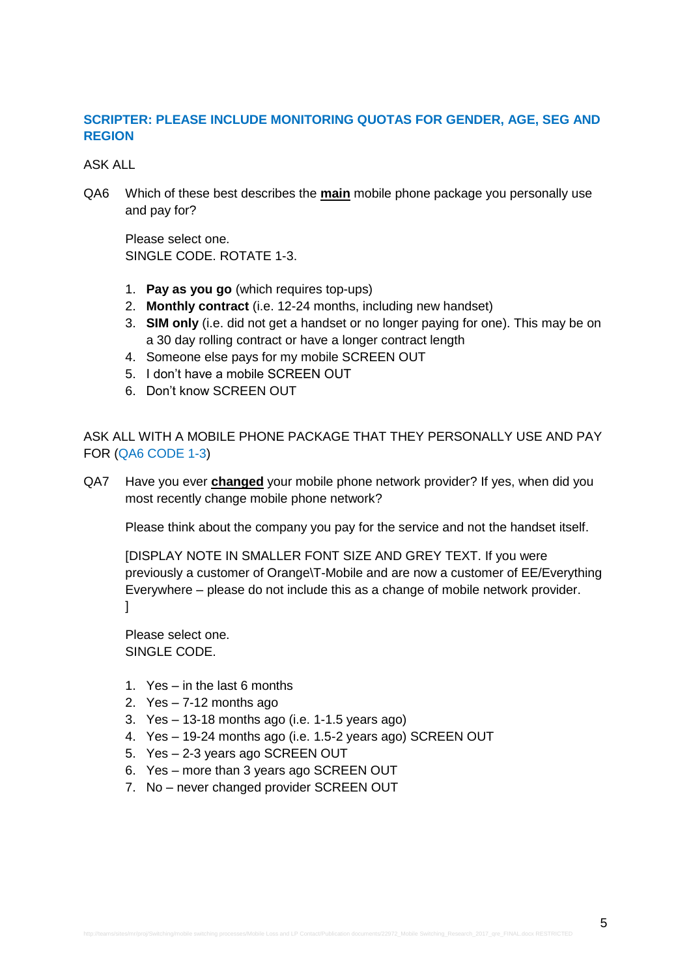# **SCRIPTER: PLEASE INCLUDE MONITORING QUOTAS FOR GENDER, AGE, SEG AND REGION**

ASK ALL

QA6 Which of these best describes the **main** mobile phone package you personally use and pay for?

Please select one. SINGLE CODE. ROTATE 1-3.

- 1. **Pay as you go** (which requires top-ups)
- 2. **Monthly contract** (i.e. 12-24 months, including new handset)
- 3. **SIM only** (i.e. did not get a handset or no longer paying for one). This may be on a 30 day rolling contract or have a longer contract length
- 4. Someone else pays for my mobile SCREEN OUT
- 5. I don't have a mobile SCREEN OUT
- 6. Don't know SCREEN OUT

ASK ALL WITH A MOBILE PHONE PACKAGE THAT THEY PERSONALLY USE AND PAY FOR (QA6 CODE 1-3)

QA7 Have you ever **changed** your mobile phone network provider? If yes, when did you most recently change mobile phone network?

Please think about the company you pay for the service and not the handset itself.

[DISPLAY NOTE IN SMALLER FONT SIZE AND GREY TEXT. If you were previously a customer of Orange\T-Mobile and are now a customer of EE/Everything Everywhere – please do not include this as a change of mobile network provider. ]

Please select one. SINGLE CODE.

- 1. Yes in the last 6 months
- 2.  $Yes 7-12$  months ago
- 3. Yes  $-13-18$  months ago (i.e. 1-1.5 years ago)
- 4. Yes 19-24 months ago (i.e. 1.5-2 years ago) SCREEN OUT
- 5. Yes 2-3 years ago SCREEN OUT
- 6. Yes more than 3 years ago SCREEN OUT
- 7. No never changed provider SCREEN OUT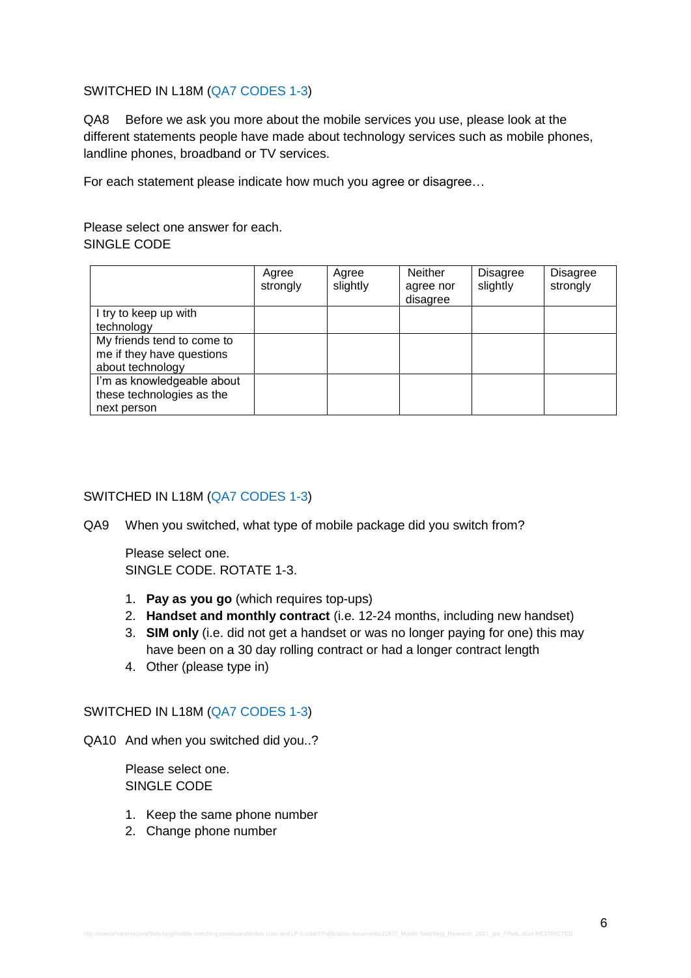### SWITCHED IN L18M (QA7 CODES 1-3)

QA8 Before we ask you more about the mobile services you use, please look at the different statements people have made about technology services such as mobile phones, landline phones, broadband or TV services.

For each statement please indicate how much you agree or disagree…

Please select one answer for each. SINGLE CODE

|                            | Agree<br>strongly | Agree<br>slightly | <b>Neither</b><br>agree nor<br>disagree | <b>Disagree</b><br>slightly | <b>Disagree</b><br>strongly |
|----------------------------|-------------------|-------------------|-----------------------------------------|-----------------------------|-----------------------------|
| I try to keep up with      |                   |                   |                                         |                             |                             |
| technology                 |                   |                   |                                         |                             |                             |
| My friends tend to come to |                   |                   |                                         |                             |                             |
| me if they have questions  |                   |                   |                                         |                             |                             |
| about technology           |                   |                   |                                         |                             |                             |
| I'm as knowledgeable about |                   |                   |                                         |                             |                             |
| these technologies as the  |                   |                   |                                         |                             |                             |
| next person                |                   |                   |                                         |                             |                             |

### SWITCHED IN L18M (QA7 CODES 1-3)

QA9 When you switched, what type of mobile package did you switch from?

Please select one. SINGLE CODE. ROTATE 1-3.

- 1. **Pay as you go** (which requires top-ups)
- 2. **Handset and monthly contract** (i.e. 12-24 months, including new handset)
- 3. **SIM only** (i.e. did not get a handset or was no longer paying for one) this may have been on a 30 day rolling contract or had a longer contract length
- 4. Other (please type in)

### SWITCHED IN L18M (QA7 CODES 1-3)

QA10 And when you switched did you..?

Please select one. SINGLE CODE

- 1. Keep the same phone number
- 2. Change phone number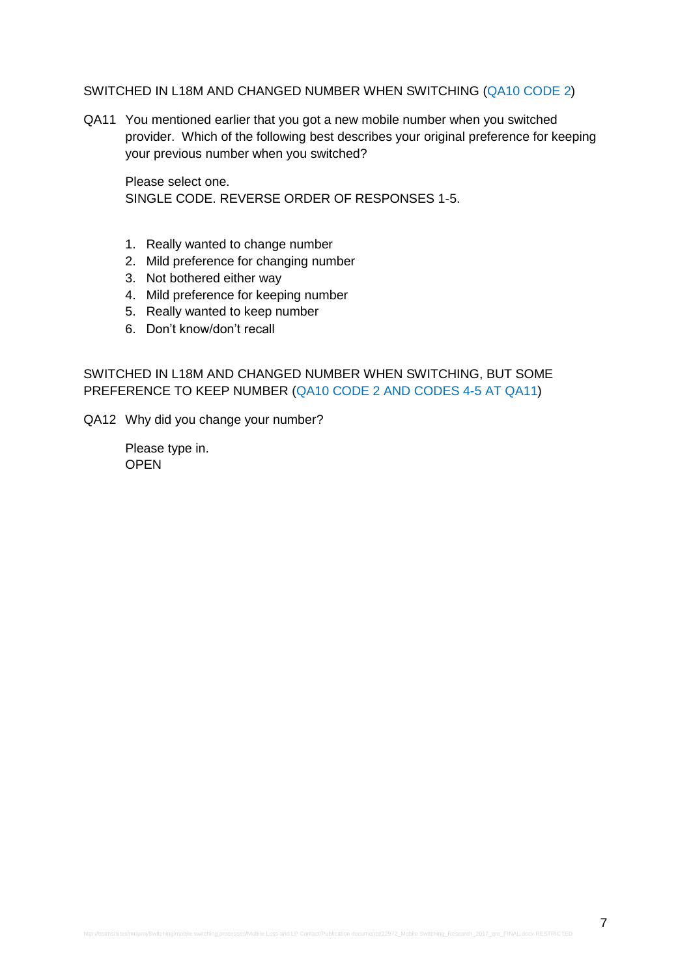#### SWITCHED IN L18M AND CHANGED NUMBER WHEN SWITCHING (QA10 CODE 2)

QA11 You mentioned earlier that you got a new mobile number when you switched provider. Which of the following best describes your original preference for keeping your previous number when you switched?

Please select one. SINGLE CODE. REVERSE ORDER OF RESPONSES 1-5.

- 1. Really wanted to change number
- 2. Mild preference for changing number
- 3. Not bothered either way
- 4. Mild preference for keeping number
- 5. Really wanted to keep number
- 6. Don't know/don't recall

SWITCHED IN L18M AND CHANGED NUMBER WHEN SWITCHING, BUT SOME PREFERENCE TO KEEP NUMBER (QA10 CODE 2 AND CODES 4-5 AT QA11)

QA12 Why did you change your number?

Please type in. **OPEN**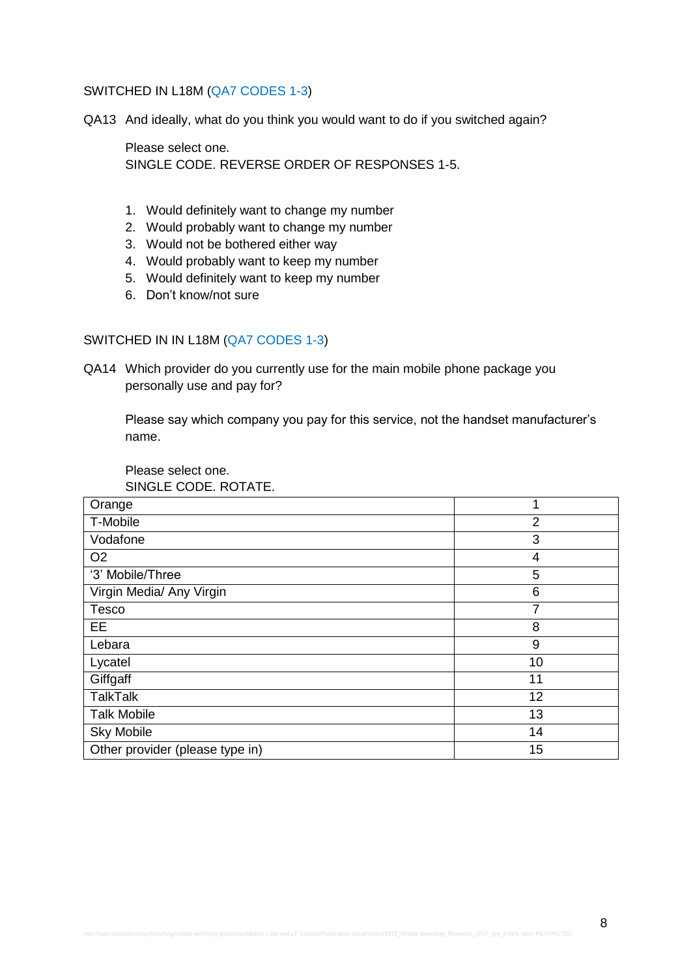#### SWITCHED IN L18M (QA7 CODES 1-3)

QA13 And ideally, what do you think you would want to do if you switched again?

Please select one. SINGLE CODE. REVERSE ORDER OF RESPONSES 1-5.

- 1. Would definitely want to change my number
- 2. Would probably want to change my number
- 3. Would not be bothered either way
- 4. Would probably want to keep my number
- 5. Would definitely want to keep my number
- 6. Don't know/not sure

### SWITCHED IN IN L18M (QA7 CODES 1-3)

QA14 Which provider do you currently use for the main mobile phone package you personally use and pay for?

Please say which company you pay for this service, not the handset manufacturer's name.

Please select one. SINGLE CODE. ROTATE.

| Orange                          | 1  |
|---------------------------------|----|
| T-Mobile                        | 2  |
| Vodafone                        | 3  |
| O <sub>2</sub>                  | 4  |
| '3' Mobile/Three                | 5  |
| Virgin Media/ Any Virgin        | 6  |
| <b>Tesco</b>                    | 7  |
| EE                              | 8  |
| Lebara                          | 9  |
| Lycatel                         | 10 |
| Giffgaff                        | 11 |
| <b>TalkTalk</b>                 | 12 |
| <b>Talk Mobile</b>              | 13 |
| <b>Sky Mobile</b>               | 14 |
| Other provider (please type in) | 15 |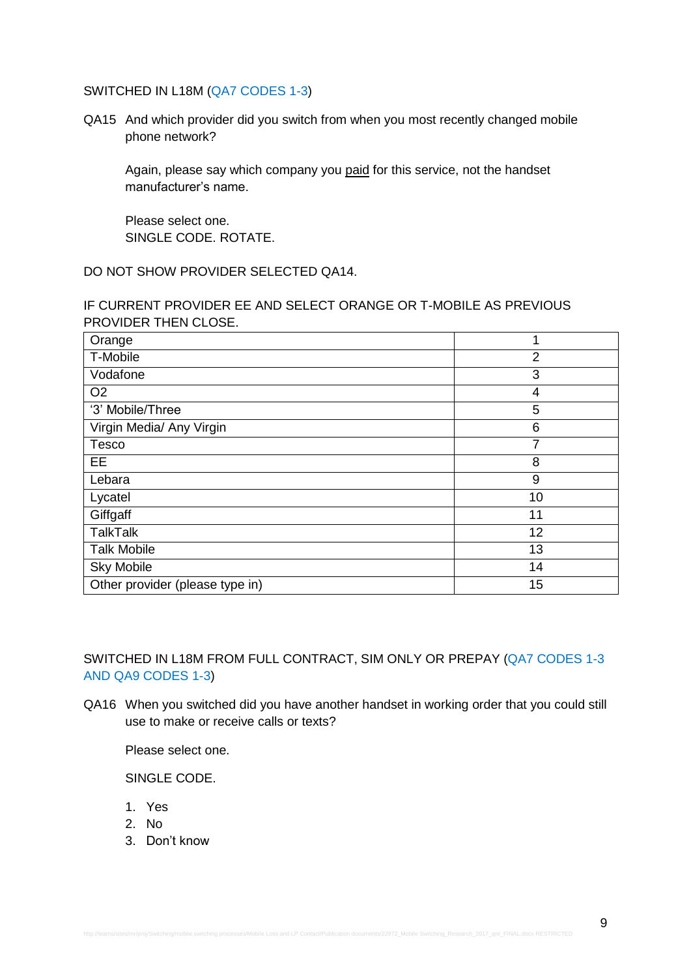# SWITCHED IN L18M (QA7 CODES 1-3)

QA15 And which provider did you switch from when you most recently changed mobile phone network?

Again, please say which company you paid for this service, not the handset manufacturer's name.

Please select one. SINGLE CODE. ROTATE.

DO NOT SHOW PROVIDER SELECTED QA14.

IF CURRENT PROVIDER EE AND SELECT ORANGE OR T-MOBILE AS PREVIOUS PROVIDER THEN CLOSE.

| Orange                          | 1              |
|---------------------------------|----------------|
| T-Mobile                        | $\overline{2}$ |
| Vodafone                        | 3              |
| O <sub>2</sub>                  | 4              |
| '3' Mobile/Three                | 5              |
| Virgin Media/ Any Virgin        | 6              |
| Tesco                           | 7              |
| EE                              | 8              |
| Lebara                          | 9              |
| Lycatel                         | 10             |
| Giffgaff                        | 11             |
| <b>TalkTalk</b>                 | 12             |
| <b>Talk Mobile</b>              | 13             |
| <b>Sky Mobile</b>               | 14             |
| Other provider (please type in) | 15             |

SWITCHED IN L18M FROM FULL CONTRACT, SIM ONLY OR PREPAY (QA7 CODES 1-3 AND QA9 CODES 1-3)

QA16 When you switched did you have another handset in working order that you could still use to make or receive calls or texts?

Please select one.

SINGLE CODE.

- 1. Yes
- 2. No
- 3. Don't know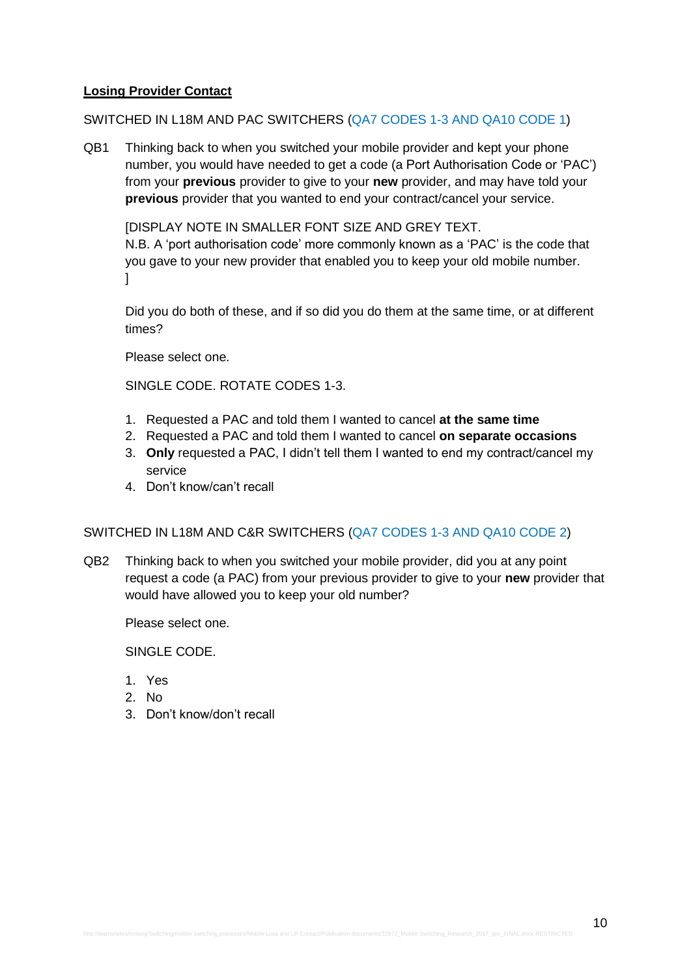# **Losing Provider Contact**

### SWITCHED IN L18M AND PAC SWITCHERS (QA7 CODES 1-3 AND QA10 CODE 1)

QB1 Thinking back to when you switched your mobile provider and kept your phone number, you would have needed to get a code (a Port Authorisation Code or 'PAC') from your **previous** provider to give to your **new** provider, and may have told your **previous** provider that you wanted to end your contract/cancel your service.

[DISPLAY NOTE IN SMALLER FONT SIZE AND GREY TEXT.

N.B. A 'port authorisation code' more commonly known as a 'PAC' is the code that you gave to your new provider that enabled you to keep your old mobile number. ]

Did you do both of these, and if so did you do them at the same time, or at different times?

Please select one.

SINGLE CODE. ROTATE CODES 1-3.

- 1. Requested a PAC and told them I wanted to cancel **at the same time**
- 2. Requested a PAC and told them I wanted to cancel **on separate occasions**
- 3. **Only** requested a PAC, I didn't tell them I wanted to end my contract/cancel my service
- 4. Don't know/can't recall

# SWITCHED IN L18M AND C&R SWITCHERS (QA7 CODES 1-3 AND QA10 CODE 2)

QB2 Thinking back to when you switched your mobile provider, did you at any point request a code (a PAC) from your previous provider to give to your **new** provider that would have allowed you to keep your old number?

Please select one.

SINGLE CODE.

- 1. Yes
- 2. No
- 3. Don't know/don't recall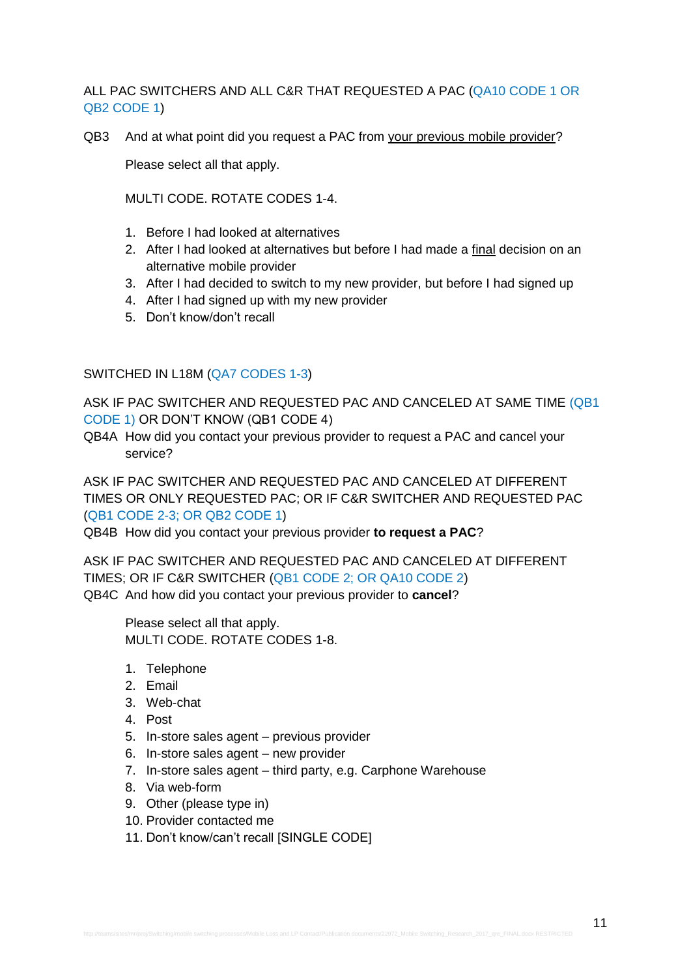ALL PAC SWITCHERS AND ALL C&R THAT REQUESTED A PAC (QA10 CODE 1 OR QB2 CODE 1)

QB3 And at what point did you request a PAC from your previous mobile provider?

Please select all that apply.

MULTI CODE. ROTATE CODES 1-4.

- 1. Before I had looked at alternatives
- 2. After I had looked at alternatives but before I had made a final decision on an alternative mobile provider
- 3. After I had decided to switch to my new provider, but before I had signed up
- 4. After I had signed up with my new provider
- 5. Don't know/don't recall

SWITCHED IN L18M (QA7 CODES 1-3)

ASK IF PAC SWITCHER AND REQUESTED PAC AND CANCELED AT SAME TIME (QB1 CODE 1) OR DON'T KNOW (QB1 CODE 4)

QB4A How did you contact your previous provider to request a PAC and cancel your service?

ASK IF PAC SWITCHER AND REQUESTED PAC AND CANCELED AT DIFFERENT TIMES OR ONLY REQUESTED PAC; OR IF C&R SWITCHER AND REQUESTED PAC (QB1 CODE 2-3; OR QB2 CODE 1)

QB4B How did you contact your previous provider **to request a PAC**?

ASK IF PAC SWITCHER AND REQUESTED PAC AND CANCELED AT DIFFERENT TIMES; OR IF C&R SWITCHER (QB1 CODE 2; OR QA10 CODE 2) QB4C And how did you contact your previous provider to **cancel**?

Please select all that apply. MULTI CODE. ROTATE CODES 1-8.

- 1. Telephone
- 2. Email
- 3. Web-chat
- 4. Post
- 5. In-store sales agent previous provider
- 6. In-store sales agent new provider
- 7. In-store sales agent third party, e.g. Carphone Warehouse
- 8. Via web-form
- 9. Other (please type in)
- 10. Provider contacted me
- 11. Don't know/can't recall [SINGLE CODE]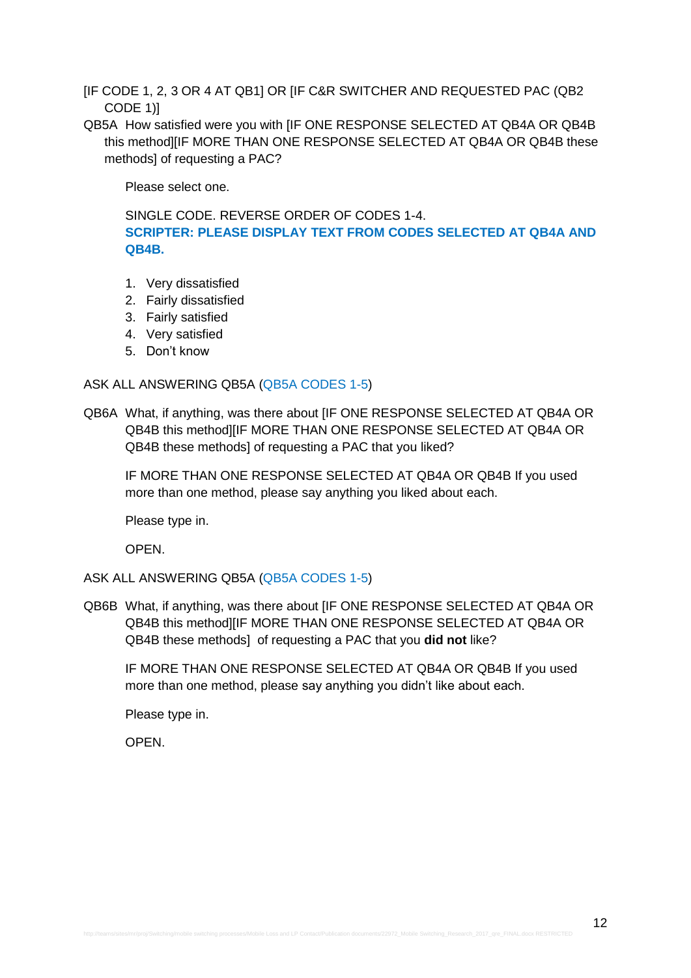- [IF CODE 1, 2, 3 OR 4 AT QB1] OR [IF C&R SWITCHER AND REQUESTED PAC (QB2 CODE 1)]
- QB5A How satisfied were you with [IF ONE RESPONSE SELECTED AT QB4A OR QB4B this method][IF MORE THAN ONE RESPONSE SELECTED AT QB4A OR QB4B these methods] of requesting a PAC?

Please select one.

SINGLE CODE. REVERSE ORDER OF CODES 1-4. **SCRIPTER: PLEASE DISPLAY TEXT FROM CODES SELECTED AT QB4A AND QB4B.**

- 1. Very dissatisfied
- 2. Fairly dissatisfied
- 3. Fairly satisfied
- 4. Very satisfied
- 5. Don't know

#### ASK ALL ANSWERING QB5A (QB5A CODES 1-5)

QB6A What, if anything, was there about [IF ONE RESPONSE SELECTED AT QB4A OR QB4B this method][IF MORE THAN ONE RESPONSE SELECTED AT QB4A OR QB4B these methods] of requesting a PAC that you liked?

IF MORE THAN ONE RESPONSE SELECTED AT QB4A OR QB4B If you used more than one method, please say anything you liked about each.

Please type in.

OPEN.

ASK ALL ANSWERING QB5A (QB5A CODES 1-5)

QB6B What, if anything, was there about [IF ONE RESPONSE SELECTED AT QB4A OR QB4B this method][IF MORE THAN ONE RESPONSE SELECTED AT QB4A OR QB4B these methods] of requesting a PAC that you **did not** like?

IF MORE THAN ONE RESPONSE SELECTED AT QB4A OR QB4B If you used more than one method, please say anything you didn't like about each.

Please type in.

OPEN.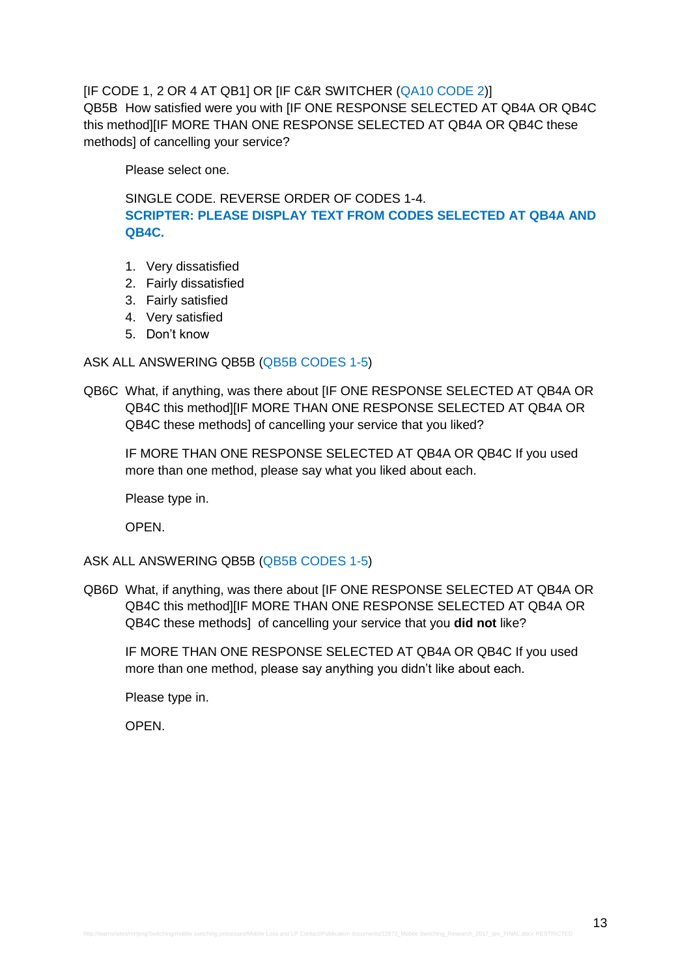[IF CODE 1, 2 OR 4 AT QB1] OR [IF C&R SWITCHER (QA10 CODE 2)] QB5B How satisfied were you with [IF ONE RESPONSE SELECTED AT QB4A OR QB4C this method][IF MORE THAN ONE RESPONSE SELECTED AT QB4A OR QB4C these methods] of cancelling your service?

Please select one.

SINGLE CODE. REVERSE ORDER OF CODES 1-4. **SCRIPTER: PLEASE DISPLAY TEXT FROM CODES SELECTED AT QB4A AND QB4C.**

- 1. Very dissatisfied
- 2. Fairly dissatisfied
- 3. Fairly satisfied
- 4. Very satisfied
- 5. Don't know

### ASK ALL ANSWERING QB5B (QB5B CODES 1-5)

QB6C What, if anything, was there about [IF ONE RESPONSE SELECTED AT QB4A OR QB4C this method][IF MORE THAN ONE RESPONSE SELECTED AT QB4A OR QB4C these methods] of cancelling your service that you liked?

IF MORE THAN ONE RESPONSE SELECTED AT QB4A OR QB4C If you used more than one method, please say what you liked about each.

Please type in.

OPEN.

### ASK ALL ANSWERING QB5B (QB5B CODES 1-5)

QB6D What, if anything, was there about [IF ONE RESPONSE SELECTED AT QB4A OR QB4C this methodIIIF MORE THAN ONE RESPONSE SELECTED AT QB4A OR QB4C these methods] of cancelling your service that you **did not** like?

IF MORE THAN ONE RESPONSE SELECTED AT QB4A OR QB4C If you used more than one method, please say anything you didn't like about each.

Please type in.

OPEN.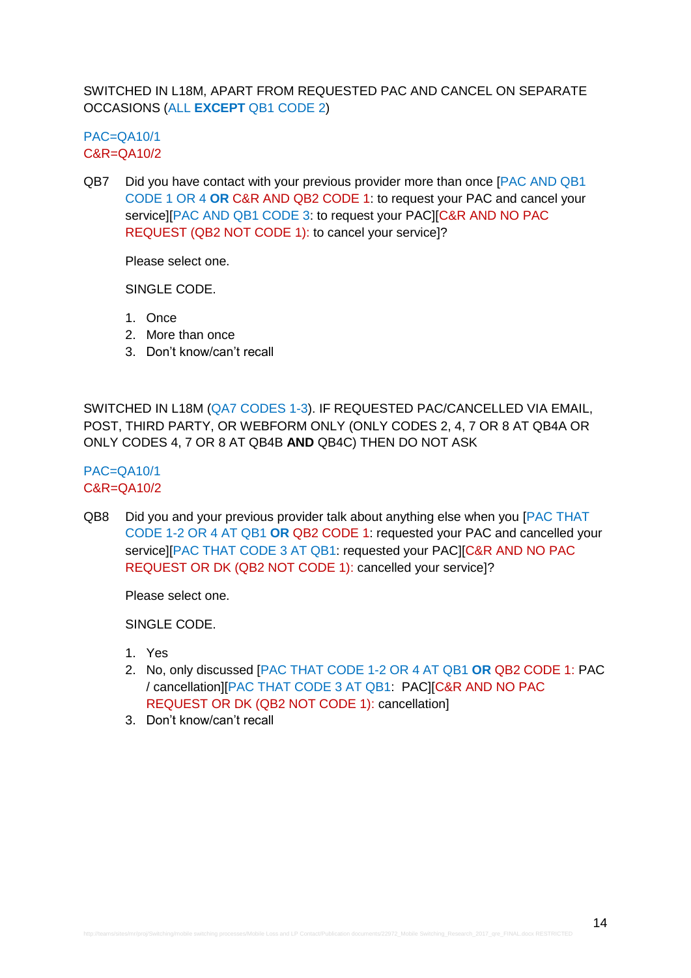SWITCHED IN L18M, APART FROM REQUESTED PAC AND CANCEL ON SEPARATE OCCASIONS (ALL **EXCEPT** QB1 CODE 2)

 $PAC=OA10/1$ C&R=QA10/2

QB7 Did you have contact with your previous provider more than once [PAC AND QB1 CODE 1 OR 4 **OR** C&R AND QB2 CODE 1: to request your PAC and cancel your service][PAC AND QB1 CODE 3: to request your PAC][C&R AND NO PAC REQUEST (QB2 NOT CODE 1): to cancel your service]?

Please select one.

SINGLE CODE.

- 1. Once
- 2. More than once
- 3. Don't know/can't recall

SWITCHED IN L18M (QA7 CODES 1-3). IF REQUESTED PAC/CANCELLED VIA EMAIL, POST, THIRD PARTY, OR WEBFORM ONLY (ONLY CODES 2, 4, 7 OR 8 AT QB4A OR ONLY CODES 4, 7 OR 8 AT QB4B **AND** QB4C) THEN DO NOT ASK

# PAC=QA10/1 C&R=QA10/2

QB8 Did you and your previous provider talk about anything else when you [PAC THAT CODE 1-2 OR 4 AT QB1 **OR** QB2 CODE 1: requested your PAC and cancelled your service][PAC THAT CODE 3 AT QB1: requested your PAC][C&R AND NO PAC REQUEST OR DK (QB2 NOT CODE 1): cancelled your service]?

Please select one.

SINGLE CODE.

- 1. Yes
- 2. No, only discussed [PAC THAT CODE 1-2 OR 4 AT QB1 **OR** QB2 CODE 1: PAC / cancellation][PAC THAT CODE 3 AT QB1: PAC][C&R AND NO PAC REQUEST OR DK (QB2 NOT CODE 1): cancellation]
- 3. Don't know/can't recall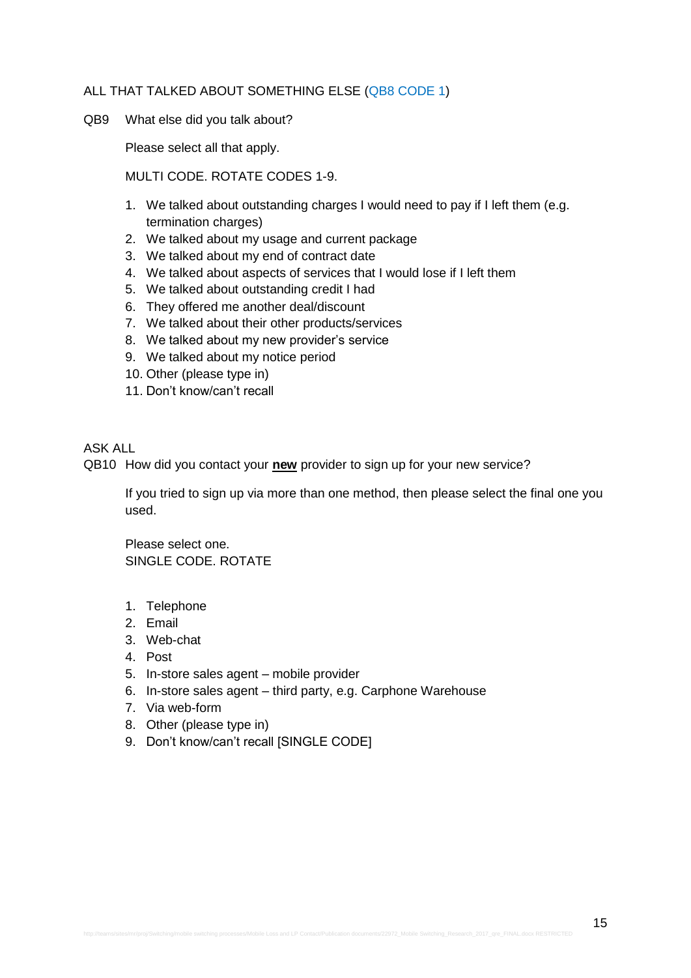### ALL THAT TALKED ABOUT SOMETHING ELSE (QB8 CODE 1)

QB9 What else did you talk about?

Please select all that apply.

MULTI CODE. ROTATE CODES 1-9.

- 1. We talked about outstanding charges I would need to pay if I left them (e.g. termination charges)
- 2. We talked about my usage and current package
- 3. We talked about my end of contract date
- 4. We talked about aspects of services that I would lose if I left them
- 5. We talked about outstanding credit I had
- 6. They offered me another deal/discount
- 7. We talked about their other products/services
- 8. We talked about my new provider's service
- 9. We talked about my notice period
- 10. Other (please type in)
- 11. Don't know/can't recall

#### ASK ALL

QB10 How did you contact your **new** provider to sign up for your new service?

If you tried to sign up via more than one method, then please select the final one you used.

Please select one. SINGLE CODE. ROTATE

- 1. Telephone
- 2. Email
- 3. Web-chat
- 4. Post
- 5. In-store sales agent mobile provider
- 6. In-store sales agent third party, e.g. Carphone Warehouse
- 7. Via web-form
- 8. Other (please type in)
- 9. Don't know/can't recall [SINGLE CODE]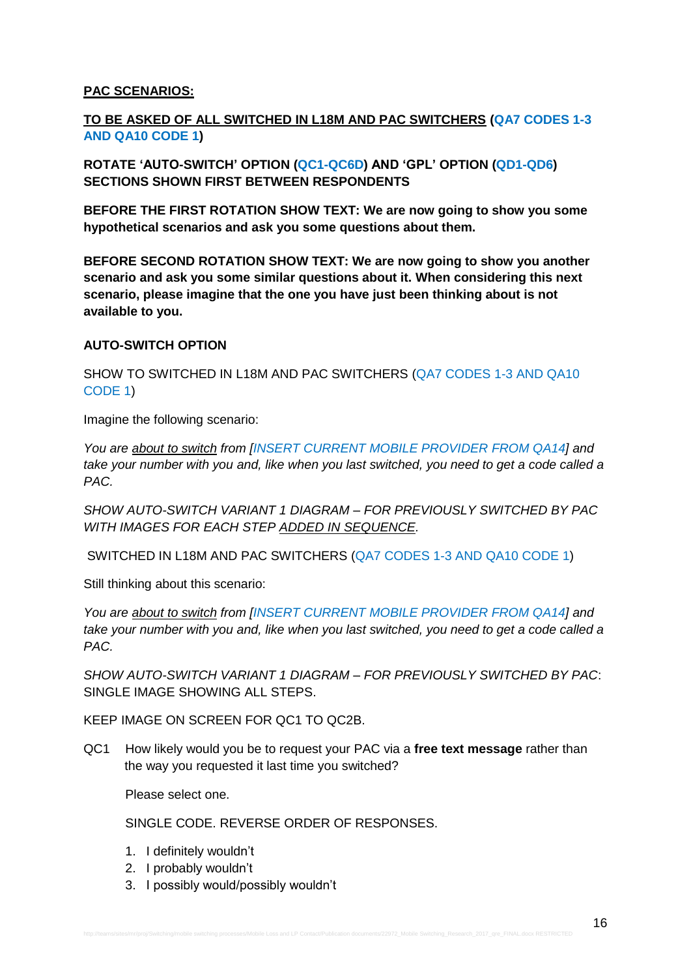# **PAC SCENARIOS:**

# **TO BE ASKED OF ALL SWITCHED IN L18M AND PAC SWITCHERS (QA7 CODES 1-3 AND QA10 CODE 1)**

**ROTATE 'AUTO-SWITCH' OPTION (QC1-QC6D) AND 'GPL' OPTION (QD1-QD6) SECTIONS SHOWN FIRST BETWEEN RESPONDENTS**

**BEFORE THE FIRST ROTATION SHOW TEXT: We are now going to show you some hypothetical scenarios and ask you some questions about them.**

**BEFORE SECOND ROTATION SHOW TEXT: We are now going to show you another scenario and ask you some similar questions about it. When considering this next scenario, please imagine that the one you have just been thinking about is not available to you.**

### **AUTO-SWITCH OPTION**

SHOW TO SWITCHED IN L18M AND PAC SWITCHERS (QA7 CODES 1-3 AND QA10 CODE 1)

Imagine the following scenario:

*You are about to switch from [INSERT CURRENT MOBILE PROVIDER FROM QA14] and take your number with you and, like when you last switched, you need to get a code called a PAC.* 

*SHOW AUTO-SWITCH VARIANT 1 DIAGRAM – FOR PREVIOUSLY SWITCHED BY PAC WITH IMAGES FOR EACH STEP ADDED IN SEQUENCE.*

SWITCHED IN L18M AND PAC SWITCHERS (QA7 CODES 1-3 AND QA10 CODE 1)

Still thinking about this scenario:

*You are about to switch from [INSERT CURRENT MOBILE PROVIDER FROM QA14] and take your number with you and, like when you last switched, you need to get a code called a PAC.* 

*SHOW AUTO-SWITCH VARIANT 1 DIAGRAM – FOR PREVIOUSLY SWITCHED BY PAC*: SINGLE IMAGE SHOWING ALL STEPS.

KEEP IMAGE ON SCREEN FOR QC1 TO QC2B.

QC1 How likely would you be to request your PAC via a **free text message** rather than the way you requested it last time you switched?

Please select one.

- 1. I definitely wouldn't
- 2. I probably wouldn't
- 3. I possibly would/possibly wouldn't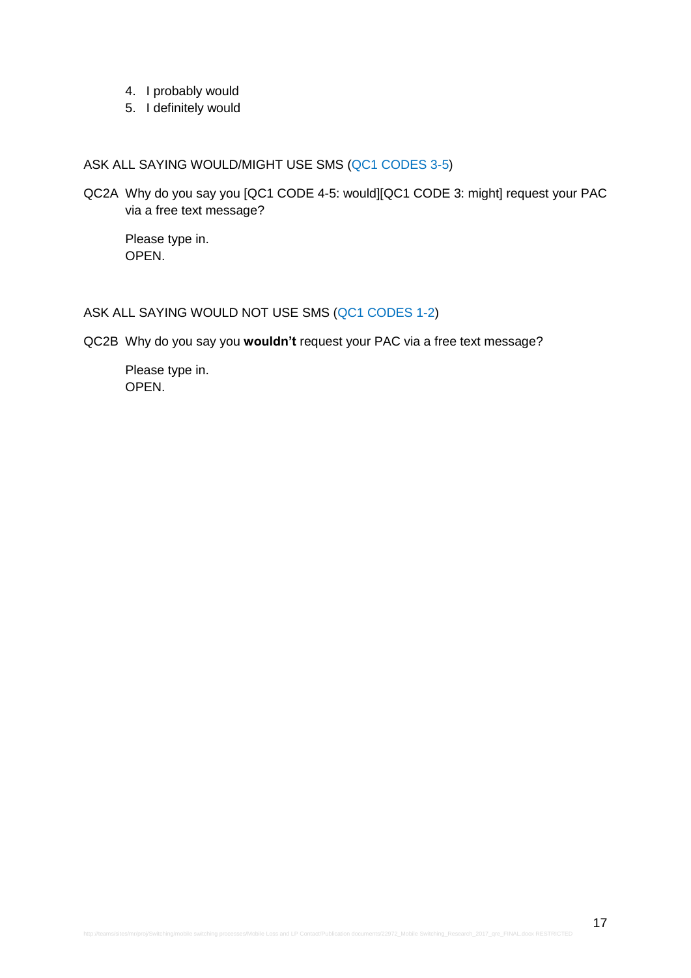- 4. I probably would
- 5. I definitely would

# ASK ALL SAYING WOULD/MIGHT USE SMS (QC1 CODES 3-5)

QC2A Why do you say you [QC1 CODE 4-5: would][QC1 CODE 3: might] request your PAC via a free text message?

Please type in. OPEN.

# ASK ALL SAYING WOULD NOT USE SMS (QC1 CODES 1-2)

QC2B Why do you say you **wouldn't** request your PAC via a free text message?

Please type in. OPEN.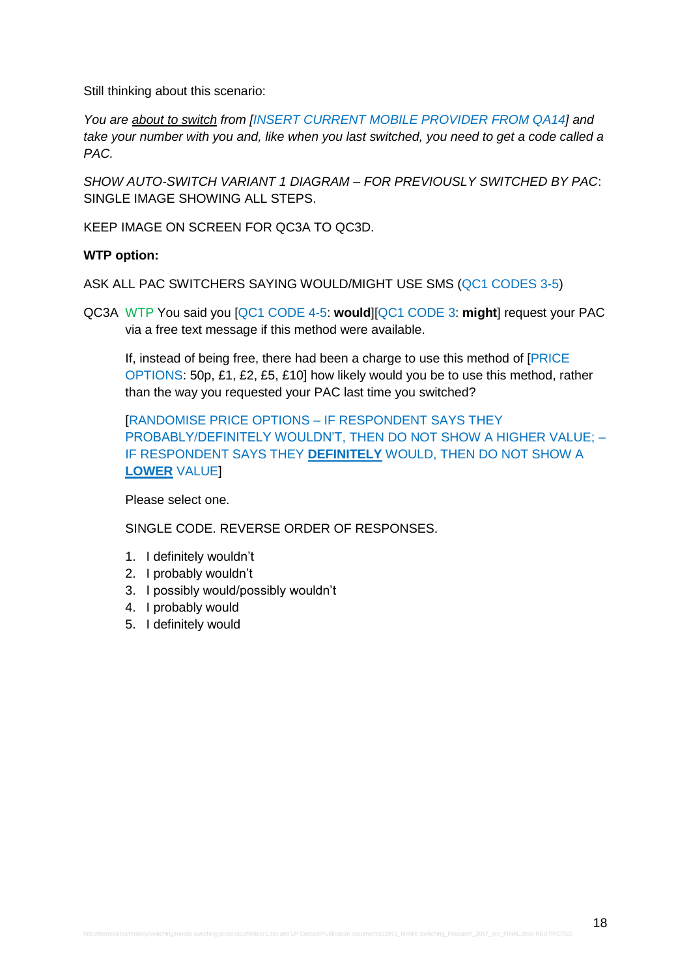Still thinking about this scenario:

*You are about to switch from [INSERT CURRENT MOBILE PROVIDER FROM QA14] and take your number with you and, like when you last switched, you need to get a code called a PAC.* 

*SHOW AUTO-SWITCH VARIANT 1 DIAGRAM – FOR PREVIOUSLY SWITCHED BY PAC*: SINGLE IMAGE SHOWING ALL STEPS.

KEEP IMAGE ON SCREEN FOR QC3A TO QC3D.

### **WTP option:**

ASK ALL PAC SWITCHERS SAYING WOULD/MIGHT USE SMS (QC1 CODES 3-5)

QC3A WTP You said you [QC1 CODE 4-5: **would**][QC1 CODE 3: **might**] request your PAC via a free text message if this method were available.

If, instead of being free, there had been a charge to use this method of [PRICE OPTIONS: 50p, £1, £2, £5, £10] how likely would you be to use this method, rather than the way you requested your PAC last time you switched?

[RANDOMISE PRICE OPTIONS – IF RESPONDENT SAYS THEY PROBABLY/DEFINITELY WOULDN'T, THEN DO NOT SHOW A HIGHER VALUE; – IF RESPONDENT SAYS THEY **DEFINITELY** WOULD, THEN DO NOT SHOW A **LOWER** VALUE]

Please select one.

- 1. I definitely wouldn't
- 2. I probably wouldn't
- 3. I possibly would/possibly wouldn't
- 4. I probably would
- 5. I definitely would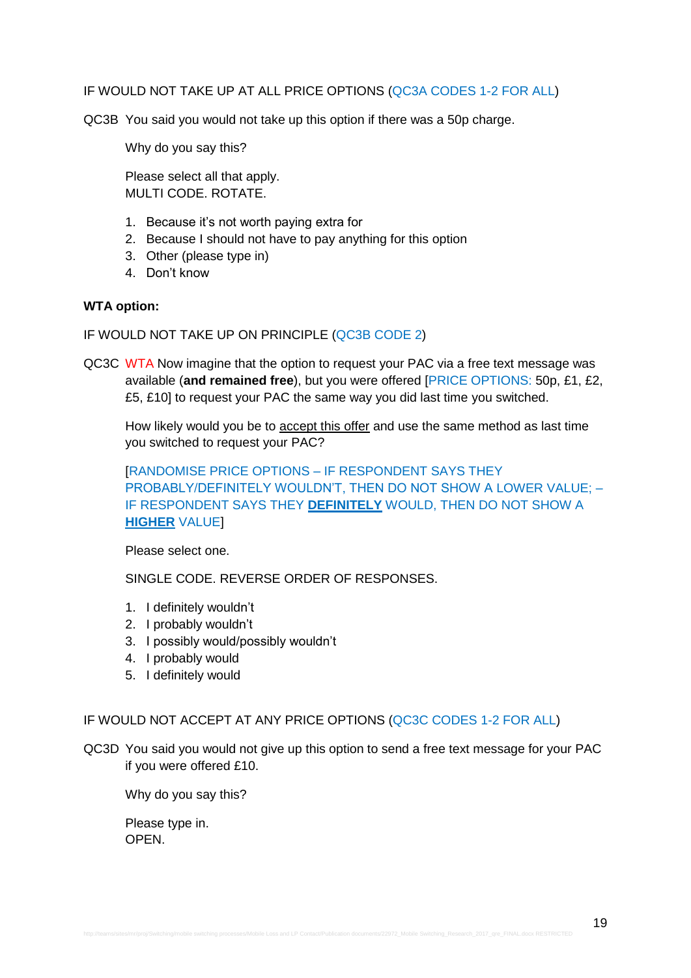### IF WOULD NOT TAKE UP AT ALL PRICE OPTIONS (QC3A CODES 1-2 FOR ALL)

QC3B You said you would not take up this option if there was a 50p charge.

Why do you say this?

Please select all that apply. MULTI CODE. ROTATE.

- 1. Because it's not worth paying extra for
- 2. Because I should not have to pay anything for this option
- 3. Other (please type in)
- 4. Don't know

### **WTA option:**

IF WOULD NOT TAKE UP ON PRINCIPLE (QC3B CODE 2)

QC3C WTA Now imagine that the option to request your PAC via a free text message was available (**and remained free**), but you were offered [PRICE OPTIONS: 50p, £1, £2, £5, £10] to request your PAC the same way you did last time you switched.

How likely would you be to accept this offer and use the same method as last time you switched to request your PAC?

[RANDOMISE PRICE OPTIONS – IF RESPONDENT SAYS THEY PROBABLY/DEFINITELY WOULDN'T, THEN DO NOT SHOW A LOWER VALUE; – IF RESPONDENT SAYS THEY **DEFINITELY** WOULD, THEN DO NOT SHOW A **HIGHER** VALUE]

Please select one.

SINGLE CODE. REVERSE ORDER OF RESPONSES.

- 1. I definitely wouldn't
- 2. I probably wouldn't
- 3. I possibly would/possibly wouldn't
- 4. I probably would
- 5. I definitely would

### IF WOULD NOT ACCEPT AT ANY PRICE OPTIONS (QC3C CODES 1-2 FOR ALL)

QC3D You said you would not give up this option to send a free text message for your PAC if you were offered £10.

Why do you say this?

Please type in. **OPEN**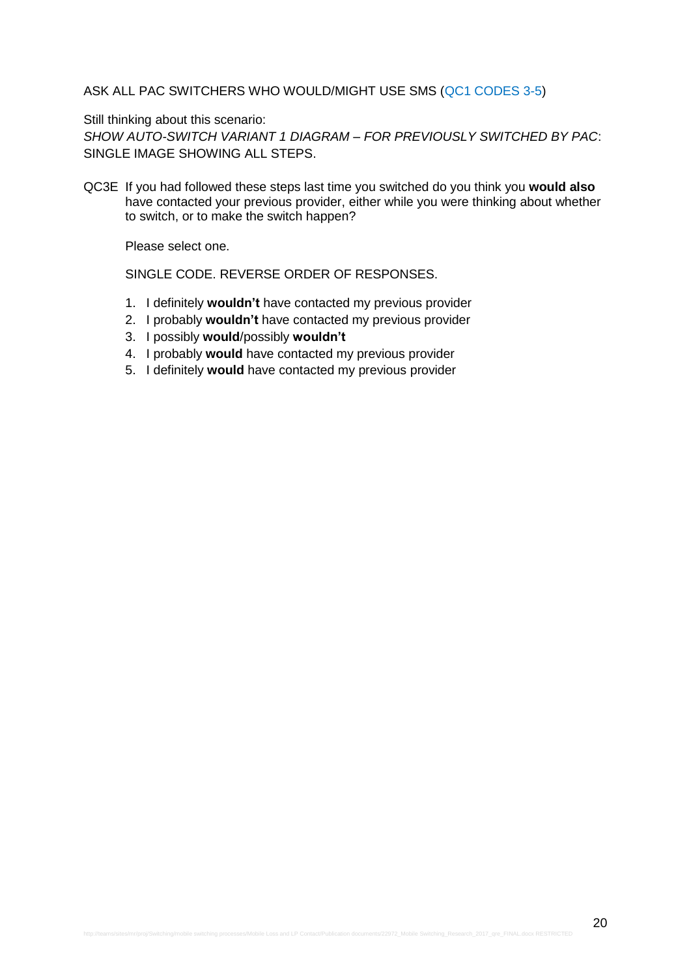### ASK ALL PAC SWITCHERS WHO WOULD/MIGHT USE SMS (QC1 CODES 3-5)

Still thinking about this scenario:

*SHOW AUTO-SWITCH VARIANT 1 DIAGRAM – FOR PREVIOUSLY SWITCHED BY PAC*: SINGLE IMAGE SHOWING ALL STEPS.

QC3E If you had followed these steps last time you switched do you think you **would also** have contacted your previous provider, either while you were thinking about whether to switch, or to make the switch happen?

Please select one.

- 1. I definitely **wouldn't** have contacted my previous provider
- 2. I probably **wouldn't** have contacted my previous provider
- 3. I possibly **would**/possibly **wouldn't**
- 4. I probably **would** have contacted my previous provider
- 5. I definitely **would** have contacted my previous provider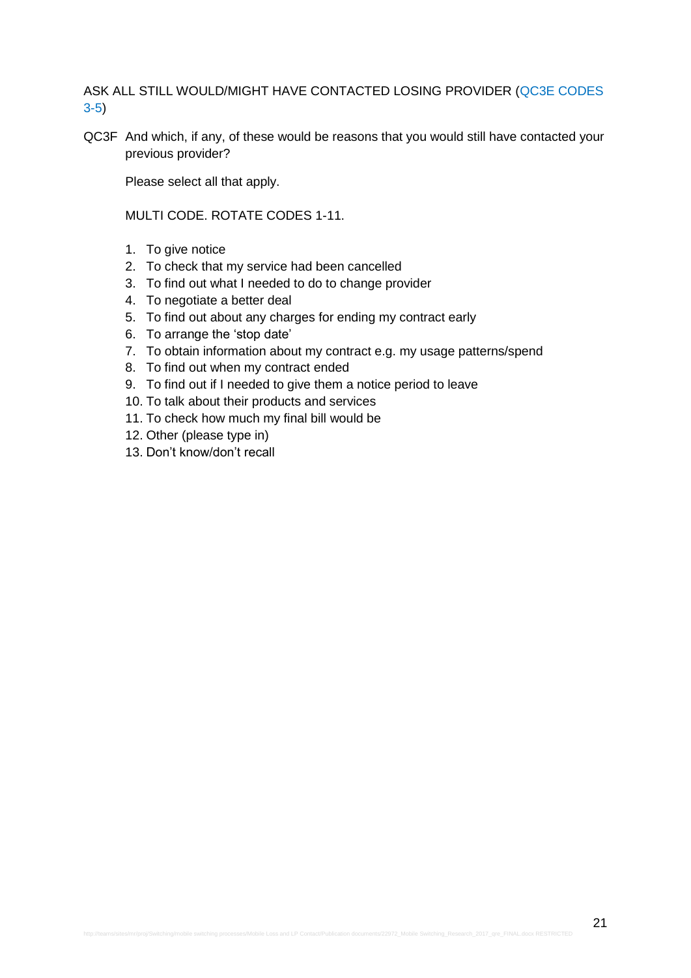ASK ALL STILL WOULD/MIGHT HAVE CONTACTED LOSING PROVIDER (QC3E CODES 3-5)

QC3F And which, if any, of these would be reasons that you would still have contacted your previous provider?

Please select all that apply.

MULTI CODE. ROTATE CODES 1-11.

- 1. To give notice
- 2. To check that my service had been cancelled
- 3. To find out what I needed to do to change provider
- 4. To negotiate a better deal
- 5. To find out about any charges for ending my contract early
- 6. To arrange the 'stop date'
- 7. To obtain information about my contract e.g. my usage patterns/spend
- 8. To find out when my contract ended
- 9. To find out if I needed to give them a notice period to leave
- 10. To talk about their products and services
- 11. To check how much my final bill would be
- 12. Other (please type in)
- 13. Don't know/don't recall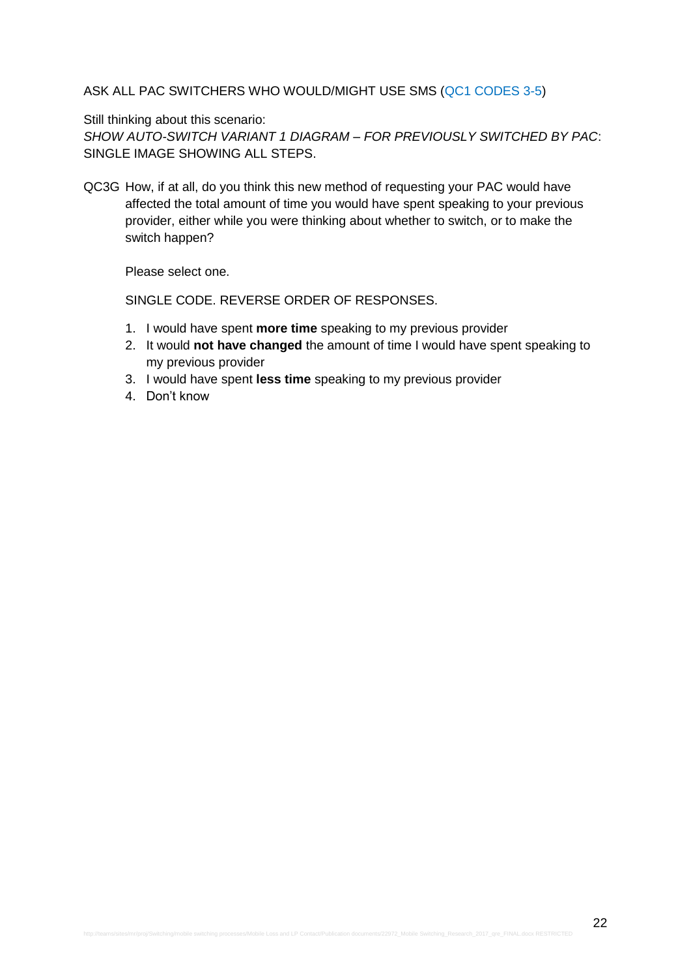### ASK ALL PAC SWITCHERS WHO WOULD/MIGHT USE SMS (QC1 CODES 3-5)

#### Still thinking about this scenario:

*SHOW AUTO-SWITCH VARIANT 1 DIAGRAM – FOR PREVIOUSLY SWITCHED BY PAC*: SINGLE IMAGE SHOWING ALL STEPS.

QC3G How, if at all, do you think this new method of requesting your PAC would have affected the total amount of time you would have spent speaking to your previous provider, either while you were thinking about whether to switch, or to make the switch happen?

Please select one.

- 1. I would have spent **more time** speaking to my previous provider
- 2. It would **not have changed** the amount of time I would have spent speaking to my previous provider
- 3. I would have spent **less time** speaking to my previous provider
- 4. Don't know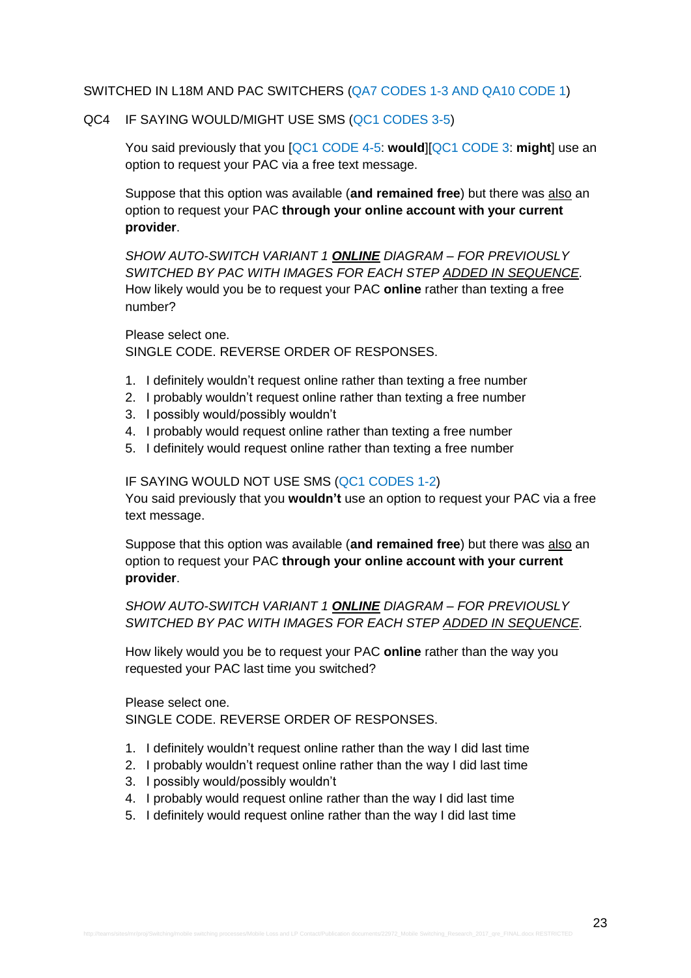#### SWITCHED IN L18M AND PAC SWITCHERS (QA7 CODES 1-3 AND QA10 CODE 1)

#### QC4 IF SAYING WOULD/MIGHT USE SMS (QC1 CODES 3-5)

You said previously that you [QC1 CODE 4-5: **would**][QC1 CODE 3: **might**] use an option to request your PAC via a free text message.

Suppose that this option was available (**and remained free**) but there was also an option to request your PAC **through your online account with your current provider**.

*SHOW AUTO-SWITCH VARIANT 1 ONLINE DIAGRAM – FOR PREVIOUSLY SWITCHED BY PAC WITH IMAGES FOR EACH STEP ADDED IN SEQUENCE.* How likely would you be to request your PAC **online** rather than texting a free number?

Please select one. SINGLE CODE. REVERSE ORDER OF RESPONSES.

- 1. I definitely wouldn't request online rather than texting a free number
- 2. I probably wouldn't request online rather than texting a free number
- 3. I possibly would/possibly wouldn't
- 4. I probably would request online rather than texting a free number
- 5. I definitely would request online rather than texting a free number

### IF SAYING WOULD NOT USE SMS (QC1 CODES 1-2)

You said previously that you **wouldn't** use an option to request your PAC via a free text message.

Suppose that this option was available (**and remained free**) but there was also an option to request your PAC **through your online account with your current provider**.

# *SHOW AUTO-SWITCH VARIANT 1 ONLINE DIAGRAM – FOR PREVIOUSLY SWITCHED BY PAC WITH IMAGES FOR EACH STEP ADDED IN SEQUENCE.*

How likely would you be to request your PAC **online** rather than the way you requested your PAC last time you switched?

Please select one. SINGLE CODE. REVERSE ORDER OF RESPONSES.

- 1. I definitely wouldn't request online rather than the way I did last time
- 2. I probably wouldn't request online rather than the way I did last time
- 3. I possibly would/possibly wouldn't
- 4. I probably would request online rather than the way I did last time
- 5. I definitely would request online rather than the way I did last time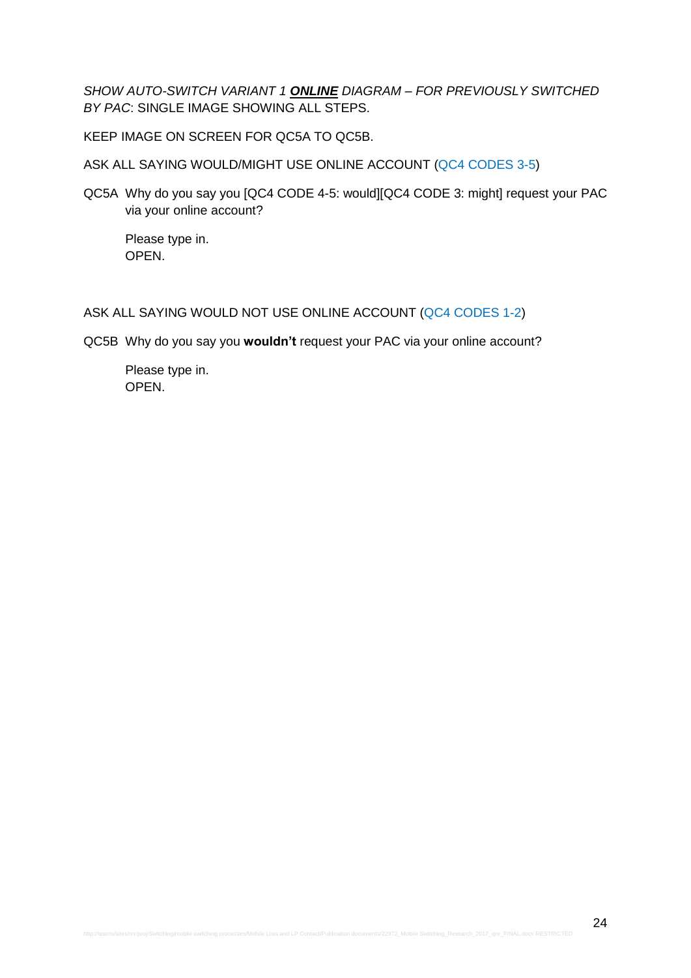*SHOW AUTO-SWITCH VARIANT 1 ONLINE DIAGRAM – FOR PREVIOUSLY SWITCHED BY PAC*: SINGLE IMAGE SHOWING ALL STEPS.

KEEP IMAGE ON SCREEN FOR QC5A TO QC5B.

ASK ALL SAYING WOULD/MIGHT USE ONLINE ACCOUNT (QC4 CODES 3-5)

QC5A Why do you say you [QC4 CODE 4-5: would][QC4 CODE 3: might] request your PAC via your online account?

Please type in. OPEN.

# ASK ALL SAYING WOULD NOT USE ONLINE ACCOUNT (QC4 CODES 1-2)

QC5B Why do you say you **wouldn't** request your PAC via your online account?

Please type in. OPEN.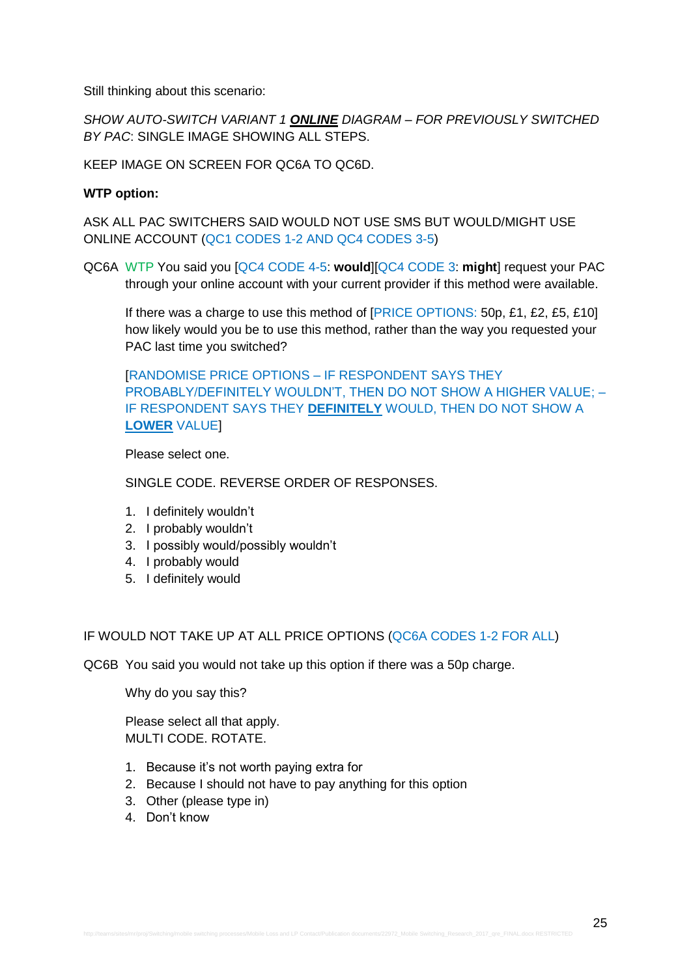Still thinking about this scenario:

*SHOW AUTO-SWITCH VARIANT 1 ONLINE DIAGRAM – FOR PREVIOUSLY SWITCHED BY PAC*: SINGLE IMAGE SHOWING ALL STEPS.

KEEP IMAGE ON SCREEN FOR QC6A TO QC6D.

### **WTP option:**

ASK ALL PAC SWITCHERS SAID WOULD NOT USE SMS BUT WOULD/MIGHT USE ONLINE ACCOUNT (QC1 CODES 1-2 AND QC4 CODES 3-5)

QC6A WTP You said you [QC4 CODE 4-5: **would**][QC4 CODE 3: **might**] request your PAC through your online account with your current provider if this method were available.

If there was a charge to use this method of [PRICE OPTIONS: 50p, £1, £2, £5, £10] how likely would you be to use this method, rather than the way you requested your PAC last time you switched?

[RANDOMISE PRICE OPTIONS – IF RESPONDENT SAYS THEY PROBABLY/DEFINITELY WOULDN'T, THEN DO NOT SHOW A HIGHER VALUE; – IF RESPONDENT SAYS THEY **DEFINITELY** WOULD, THEN DO NOT SHOW A **LOWER** VALUE]

Please select one.

SINGLE CODE. REVERSE ORDER OF RESPONSES.

- 1. I definitely wouldn't
- 2. I probably wouldn't
- 3. I possibly would/possibly wouldn't
- 4. I probably would
- 5. I definitely would

IF WOULD NOT TAKE UP AT ALL PRICE OPTIONS (QC6A CODES 1-2 FOR ALL)

QC6B You said you would not take up this option if there was a 50p charge.

Why do you say this?

Please select all that apply. MULTI CODE. ROTATE.

- 1. Because it's not worth paying extra for
- 2. Because I should not have to pay anything for this option
- 3. Other (please type in)
- 4. Don't know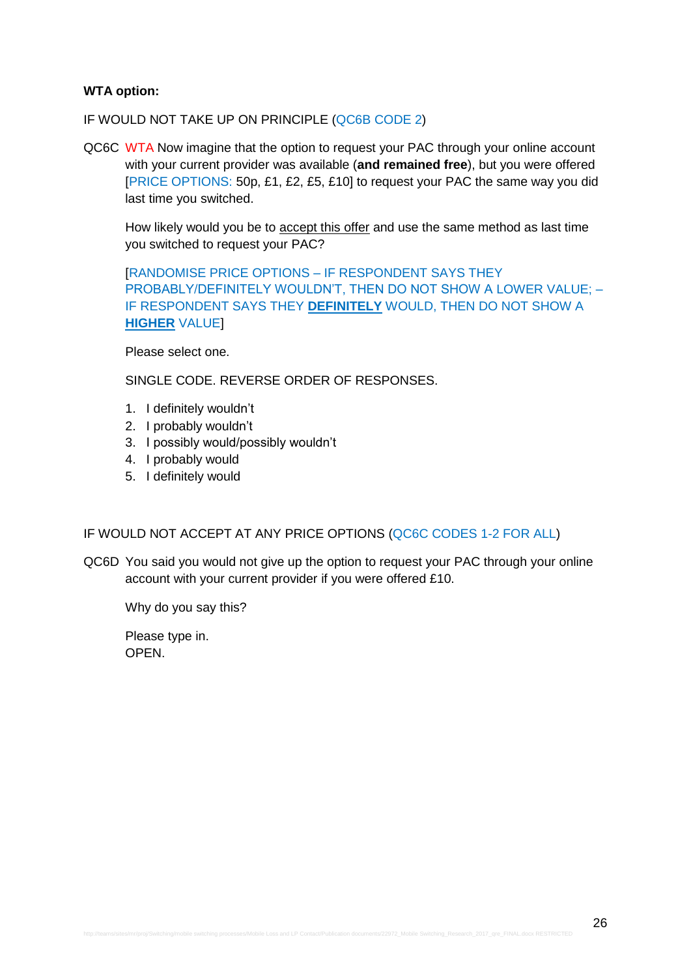### **WTA option:**

IF WOULD NOT TAKE UP ON PRINCIPLE (QC6B CODE 2)

QC6C WTA Now imagine that the option to request your PAC through your online account with your current provider was available (**and remained free**), but you were offered [PRICE OPTIONS: 50p, £1, £2, £5, £10] to request your PAC the same way you did last time you switched.

How likely would you be to accept this offer and use the same method as last time you switched to request your PAC?

[RANDOMISE PRICE OPTIONS – IF RESPONDENT SAYS THEY PROBABLY/DEFINITELY WOULDN'T, THEN DO NOT SHOW A LOWER VALUE; – IF RESPONDENT SAYS THEY **DEFINITELY** WOULD, THEN DO NOT SHOW A **HIGHER** VALUE]

Please select one.

SINGLE CODE. REVERSE ORDER OF RESPONSES.

- 1. I definitely wouldn't
- 2. I probably wouldn't
- 3. I possibly would/possibly wouldn't
- 4. I probably would
- 5. I definitely would

# IF WOULD NOT ACCEPT AT ANY PRICE OPTIONS (QC6C CODES 1-2 FOR ALL)

QC6D You said you would not give up the option to request your PAC through your online account with your current provider if you were offered £10.

Why do you say this?

Please type in. OPEN.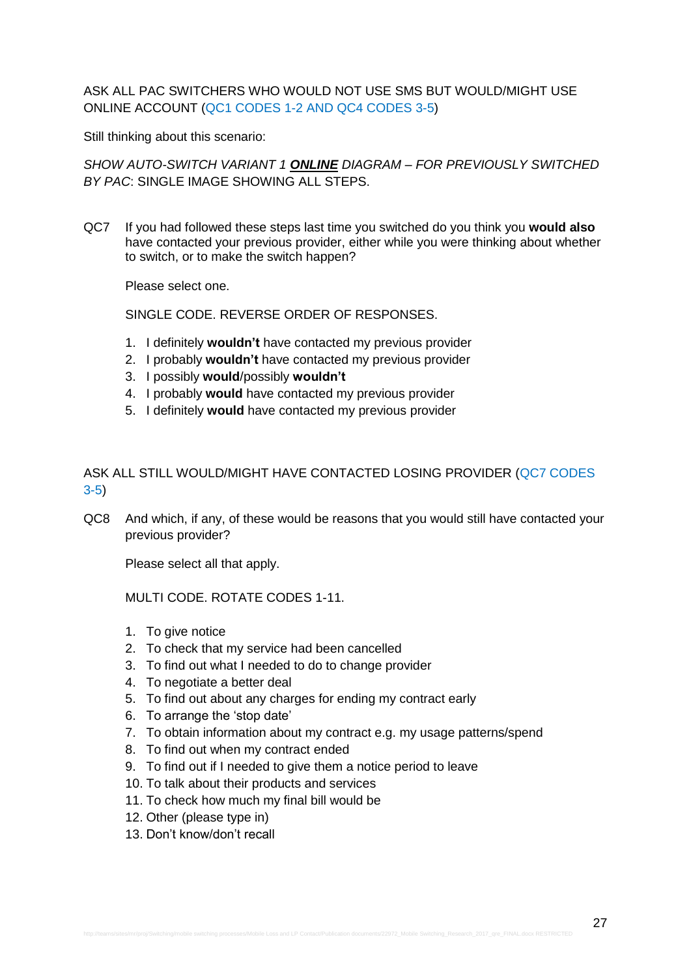ASK ALL PAC SWITCHERS WHO WOULD NOT USE SMS BUT WOULD/MIGHT USE ONLINE ACCOUNT (QC1 CODES 1-2 AND QC4 CODES 3-5)

Still thinking about this scenario:

*SHOW AUTO-SWITCH VARIANT 1 ONLINE DIAGRAM – FOR PREVIOUSLY SWITCHED BY PAC*: SINGLE IMAGE SHOWING ALL STEPS.

QC7 If you had followed these steps last time you switched do you think you **would also** have contacted your previous provider, either while you were thinking about whether to switch, or to make the switch happen?

Please select one.

SINGLE CODE. REVERSE ORDER OF RESPONSES.

- 1. I definitely **wouldn't** have contacted my previous provider
- 2. I probably **wouldn't** have contacted my previous provider
- 3. I possibly **would**/possibly **wouldn't**
- 4. I probably **would** have contacted my previous provider
- 5. I definitely **would** have contacted my previous provider

# ASK ALL STILL WOULD/MIGHT HAVE CONTACTED LOSING PROVIDER (QC7 CODES 3-5)

QC8 And which, if any, of these would be reasons that you would still have contacted your previous provider?

Please select all that apply.

MULTI CODE. ROTATE CODES 1-11.

- 1. To give notice
- 2. To check that my service had been cancelled
- 3. To find out what I needed to do to change provider
- 4. To negotiate a better deal
- 5. To find out about any charges for ending my contract early
- 6. To arrange the 'stop date'
- 7. To obtain information about my contract e.g. my usage patterns/spend
- 8. To find out when my contract ended
- 9. To find out if I needed to give them a notice period to leave
- 10. To talk about their products and services
- 11. To check how much my final bill would be
- 12. Other (please type in)
- 13. Don't know/don't recall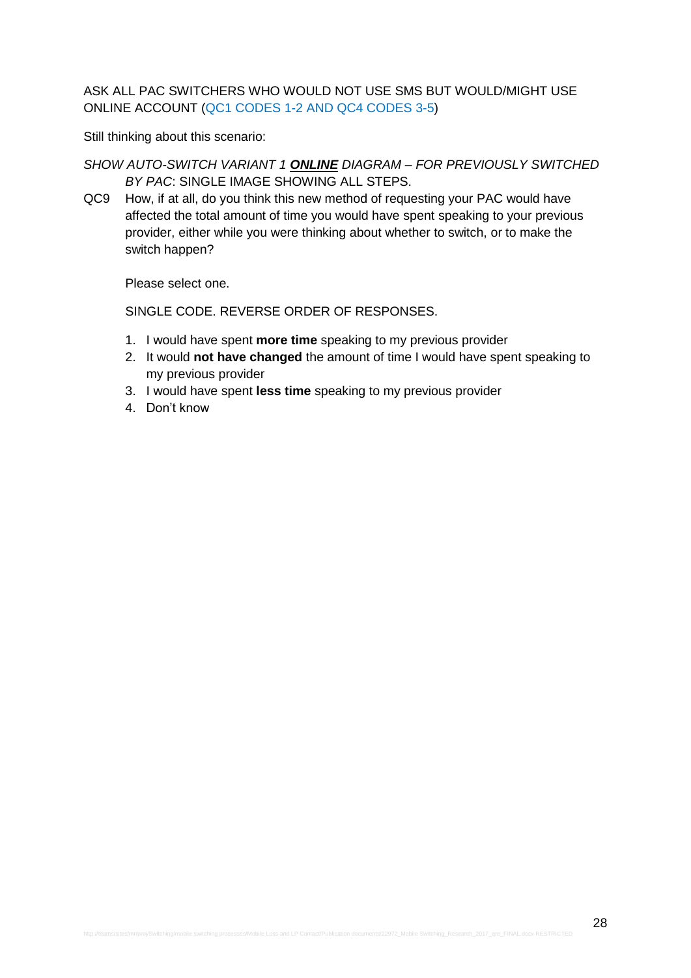ASK ALL PAC SWITCHERS WHO WOULD NOT USE SMS BUT WOULD/MIGHT USE ONLINE ACCOUNT (QC1 CODES 1-2 AND QC4 CODES 3-5)

Still thinking about this scenario:

- *SHOW AUTO-SWITCH VARIANT 1 ONLINE DIAGRAM – FOR PREVIOUSLY SWITCHED BY PAC*: SINGLE IMAGE SHOWING ALL STEPS.
- QC9 How, if at all, do you think this new method of requesting your PAC would have affected the total amount of time you would have spent speaking to your previous provider, either while you were thinking about whether to switch, or to make the switch happen?

Please select one.

- 1. I would have spent **more time** speaking to my previous provider
- 2. It would **not have changed** the amount of time I would have spent speaking to my previous provider
- 3. I would have spent **less time** speaking to my previous provider
- 4. Don't know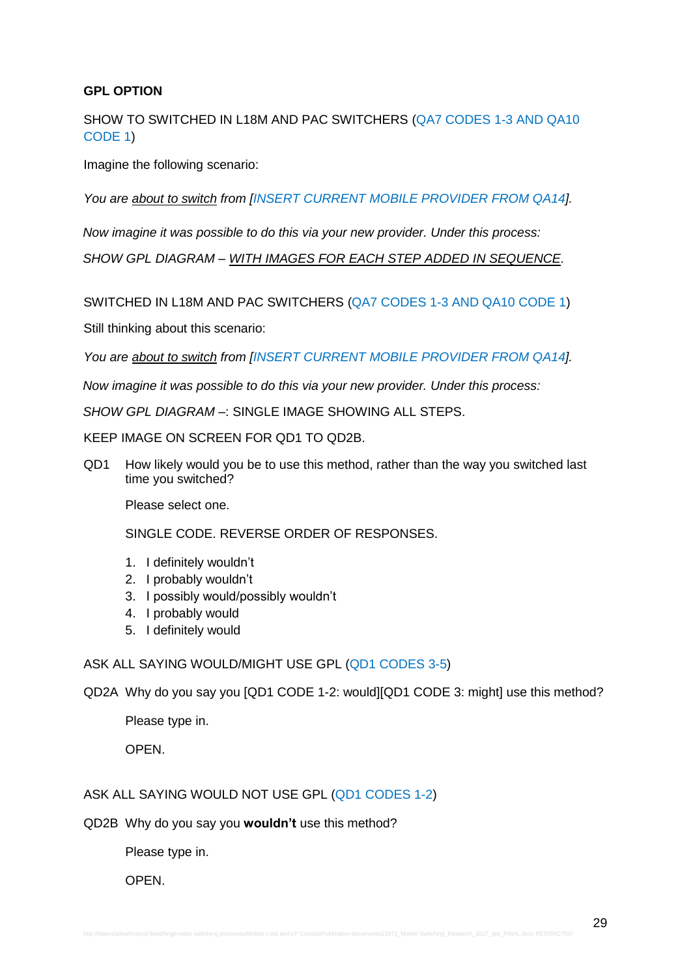# **GPL OPTION**

SHOW TO SWITCHED IN L18M AND PAC SWITCHERS (QA7 CODES 1-3 AND QA10 CODE 1)

Imagine the following scenario:

*You are about to switch from [INSERT CURRENT MOBILE PROVIDER FROM QA14].* 

*Now imagine it was possible to do this via your new provider. Under this process:*

*SHOW GPL DIAGRAM – WITH IMAGES FOR EACH STEP ADDED IN SEQUENCE.*

SWITCHED IN L18M AND PAC SWITCHERS (QA7 CODES 1-3 AND QA10 CODE 1)

Still thinking about this scenario:

*You are about to switch from [INSERT CURRENT MOBILE PROVIDER FROM QA14].* 

*Now imagine it was possible to do this via your new provider. Under this process:*

*SHOW GPL DIAGRAM –*: SINGLE IMAGE SHOWING ALL STEPS.

KEEP IMAGE ON SCREEN FOR QD1 TO QD2B.

QD1 How likely would you be to use this method, rather than the way you switched last time you switched?

Please select one.

SINGLE CODE. REVERSE ORDER OF RESPONSES.

- 1. I definitely wouldn't
- 2. I probably wouldn't
- 3. I possibly would/possibly wouldn't
- 4. I probably would
- 5. I definitely would

ASK ALL SAYING WOULD/MIGHT USE GPL (QD1 CODES 3-5)

QD2A Why do you say you [QD1 CODE 1-2: would][QD1 CODE 3: might] use this method?

Please type in.

OPEN.

# ASK ALL SAYING WOULD NOT USE GPL (QD1 CODES 1-2)

QD2B Why do you say you **wouldn't** use this method?

Please type in.

OPEN.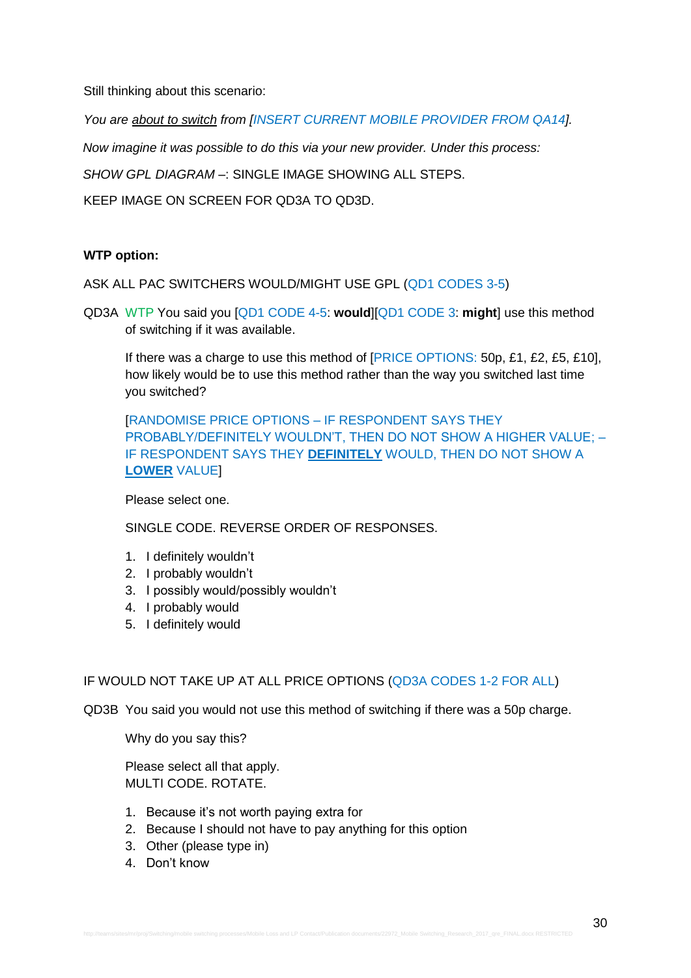Still thinking about this scenario:

*You are about to switch from [INSERT CURRENT MOBILE PROVIDER FROM QA14].* 

*Now imagine it was possible to do this via your new provider. Under this process:*

*SHOW GPL DIAGRAM –*: SINGLE IMAGE SHOWING ALL STEPS.

KEEP IMAGE ON SCREEN FOR QD3A TO QD3D.

# **WTP option:**

ASK ALL PAC SWITCHERS WOULD/MIGHT USE GPL (QD1 CODES 3-5)

QD3A WTP You said you [QD1 CODE 4-5: **would**][QD1 CODE 3: **might**] use this method of switching if it was available.

If there was a charge to use this method of [PRICE OPTIONS: 50p, £1, £2, £5, £10], how likely would be to use this method rather than the way you switched last time you switched?

[RANDOMISE PRICE OPTIONS – IF RESPONDENT SAYS THEY PROBABLY/DEFINITELY WOULDN'T, THEN DO NOT SHOW A HIGHER VALUE; – IF RESPONDENT SAYS THEY **DEFINITELY** WOULD, THEN DO NOT SHOW A **LOWER** VALUE]

Please select one.

SINGLE CODE. REVERSE ORDER OF RESPONSES.

- 1. I definitely wouldn't
- 2. I probably wouldn't
- 3. I possibly would/possibly wouldn't
- 4. I probably would
- 5. I definitely would

# IF WOULD NOT TAKE UP AT ALL PRICE OPTIONS (QD3A CODES 1-2 FOR ALL)

QD3B You said you would not use this method of switching if there was a 50p charge.

Why do you say this?

Please select all that apply. MULTI CODE. ROTATE.

- 1. Because it's not worth paying extra for
- 2. Because I should not have to pay anything for this option
- 3. Other (please type in)
- 4. Don't know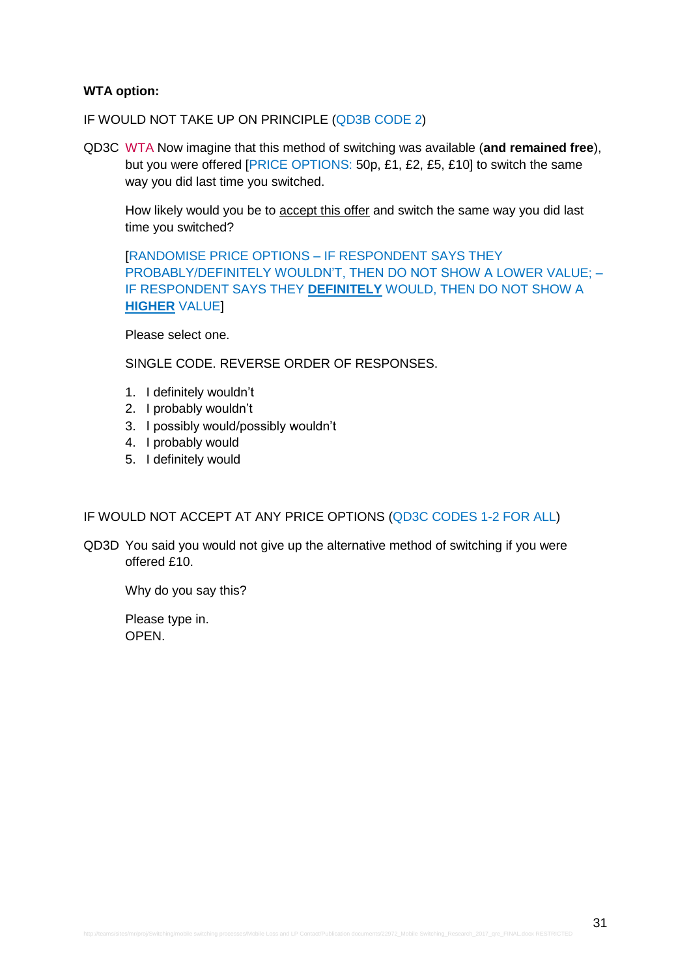### **WTA option:**

IF WOULD NOT TAKE UP ON PRINCIPLE (QD3B CODE 2)

QD3C WTA Now imagine that this method of switching was available (**and remained free**), but you were offered [PRICE OPTIONS: 50p, £1, £2, £5, £10] to switch the same way you did last time you switched.

How likely would you be to accept this offer and switch the same way you did last time you switched?

[RANDOMISE PRICE OPTIONS – IF RESPONDENT SAYS THEY PROBABLY/DEFINITELY WOULDN'T, THEN DO NOT SHOW A LOWER VALUE; – IF RESPONDENT SAYS THEY **DEFINITELY** WOULD, THEN DO NOT SHOW A **HIGHER** VALUE]

Please select one.

SINGLE CODE. REVERSE ORDER OF RESPONSES.

- 1. I definitely wouldn't
- 2. I probably wouldn't
- 3. I possibly would/possibly wouldn't
- 4. I probably would
- 5. I definitely would

### IF WOULD NOT ACCEPT AT ANY PRICE OPTIONS (QD3C CODES 1-2 FOR ALL)

QD3D You said you would not give up the alternative method of switching if you were offered £10.

Why do you say this?

Please type in. OPEN.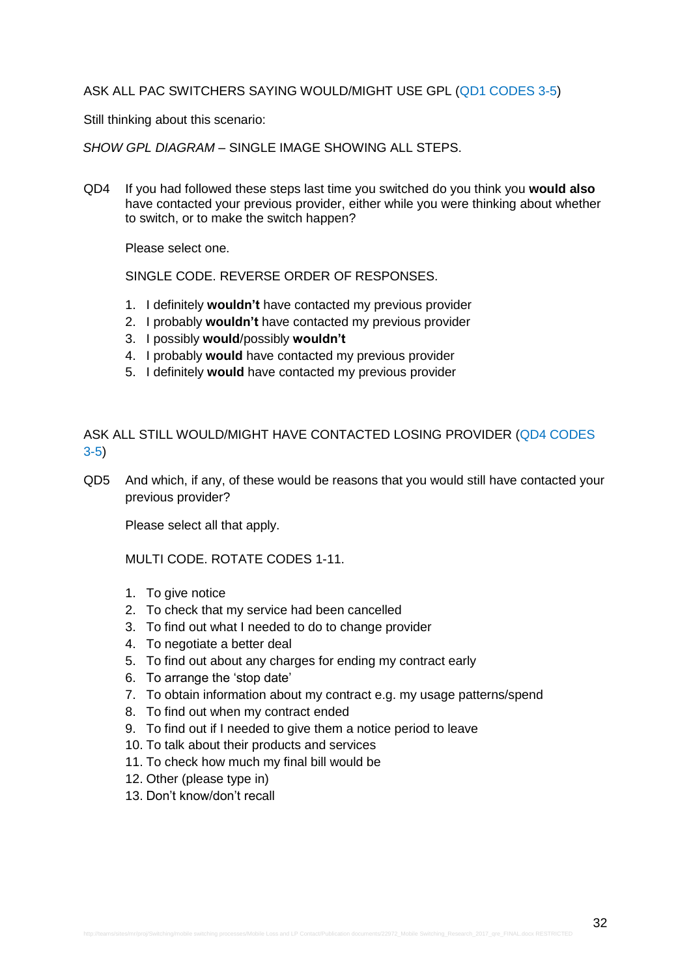### ASK ALL PAC SWITCHERS SAYING WOULD/MIGHT USE GPL (QD1 CODES 3-5)

Still thinking about this scenario:

*SHOW GPL DIAGRAM –* SINGLE IMAGE SHOWING ALL STEPS.

QD4 If you had followed these steps last time you switched do you think you **would also** have contacted your previous provider, either while you were thinking about whether to switch, or to make the switch happen?

Please select one.

SINGLE CODE. REVERSE ORDER OF RESPONSES.

- 1. I definitely **wouldn't** have contacted my previous provider
- 2. I probably **wouldn't** have contacted my previous provider
- 3. I possibly **would**/possibly **wouldn't**
- 4. I probably **would** have contacted my previous provider
- 5. I definitely **would** have contacted my previous provider

ASK ALL STILL WOULD/MIGHT HAVE CONTACTED LOSING PROVIDER (QD4 CODES 3-5)

QD5 And which, if any, of these would be reasons that you would still have contacted your previous provider?

Please select all that apply.

MULTI CODE. ROTATE CODES 1-11.

- 1. To give notice
- 2. To check that my service had been cancelled
- 3. To find out what I needed to do to change provider
- 4. To negotiate a better deal
- 5. To find out about any charges for ending my contract early
- 6. To arrange the 'stop date'
- 7. To obtain information about my contract e.g. my usage patterns/spend
- 8. To find out when my contract ended
- 9. To find out if I needed to give them a notice period to leave
- 10. To talk about their products and services
- 11. To check how much my final bill would be
- 12. Other (please type in)
- 13. Don't know/don't recall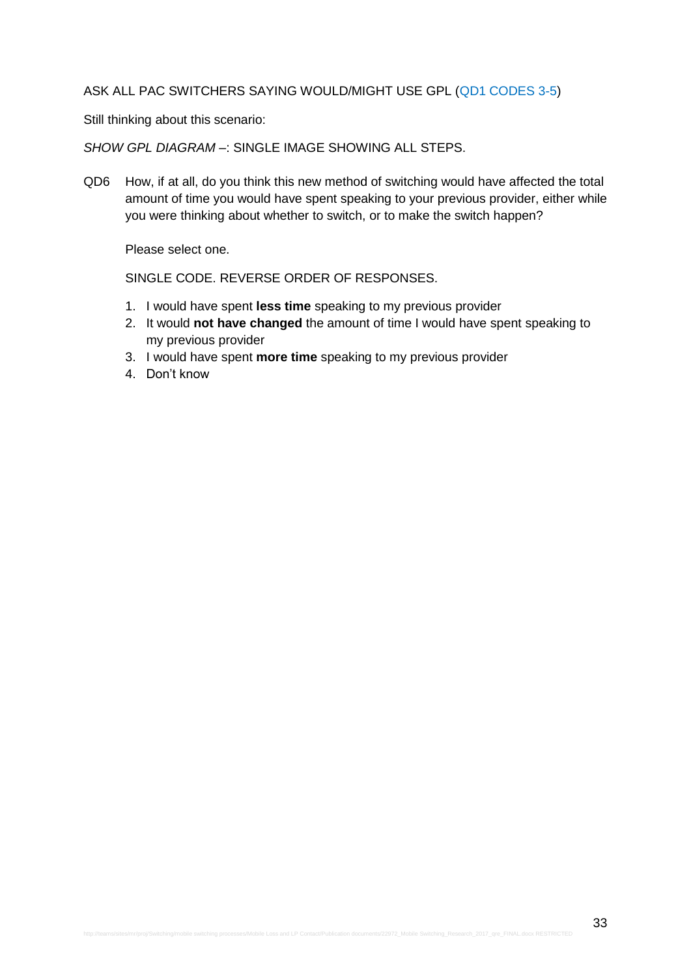### ASK ALL PAC SWITCHERS SAYING WOULD/MIGHT USE GPL (QD1 CODES 3-5)

Still thinking about this scenario:

*SHOW GPL DIAGRAM –*: SINGLE IMAGE SHOWING ALL STEPS.

QD6 How, if at all, do you think this new method of switching would have affected the total amount of time you would have spent speaking to your previous provider, either while you were thinking about whether to switch, or to make the switch happen?

Please select one.

- 1. I would have spent **less time** speaking to my previous provider
- 2. It would **not have changed** the amount of time I would have spent speaking to my previous provider
- 3. I would have spent **more time** speaking to my previous provider
- 4. Don't know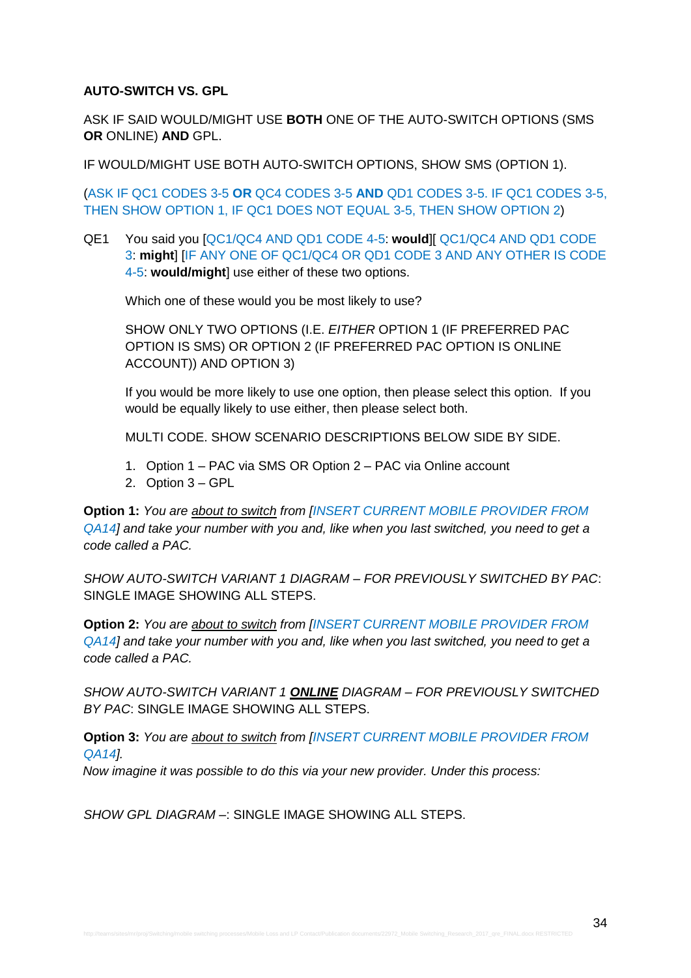# **AUTO-SWITCH VS. GPL**

ASK IF SAID WOULD/MIGHT USE **BOTH** ONE OF THE AUTO-SWITCH OPTIONS (SMS **OR** ONLINE) **AND** GPL.

IF WOULD/MIGHT USE BOTH AUTO-SWITCH OPTIONS, SHOW SMS (OPTION 1).

(ASK IF QC1 CODES 3-5 **OR** QC4 CODES 3-5 **AND** QD1 CODES 3-5. IF QC1 CODES 3-5, THEN SHOW OPTION 1, IF QC1 DOES NOT EQUAL 3-5, THEN SHOW OPTION 2)

QE1 You said you [QC1/QC4 AND QD1 CODE 4-5: **would**][ QC1/QC4 AND QD1 CODE 3: **might**] [IF ANY ONE OF QC1/QC4 OR QD1 CODE 3 AND ANY OTHER IS CODE 4-5: **would/might**] use either of these two options.

Which one of these would you be most likely to use?

SHOW ONLY TWO OPTIONS (I.E. *EITHER* OPTION 1 (IF PREFERRED PAC OPTION IS SMS) OR OPTION 2 (IF PREFERRED PAC OPTION IS ONLINE ACCOUNT)) AND OPTION 3)

If you would be more likely to use one option, then please select this option. If you would be equally likely to use either, then please select both.

MULTI CODE. SHOW SCENARIO DESCRIPTIONS BELOW SIDE BY SIDE.

- 1. Option 1 PAC via SMS OR Option 2 PAC via Online account
- 2. Option 3 GPL

**Option 1:** *You are about to switch from [INSERT CURRENT MOBILE PROVIDER FROM QA14] and take your number with you and, like when you last switched, you need to get a code called a PAC.* 

*SHOW AUTO-SWITCH VARIANT 1 DIAGRAM – FOR PREVIOUSLY SWITCHED BY PAC*: SINGLE IMAGE SHOWING ALL STEPS.

**Option 2:** *You are about to switch from [INSERT CURRENT MOBILE PROVIDER FROM QA14] and take your number with you and, like when you last switched, you need to get a code called a PAC.*

*SHOW AUTO-SWITCH VARIANT 1 ONLINE DIAGRAM – FOR PREVIOUSLY SWITCHED BY PAC*: SINGLE IMAGE SHOWING ALL STEPS.

**Option 3:** *You are about to switch from [INSERT CURRENT MOBILE PROVIDER FROM QA14].* 

*Now imagine it was possible to do this via your new provider. Under this process:*

*SHOW GPL DIAGRAM –*: SINGLE IMAGE SHOWING ALL STEPS.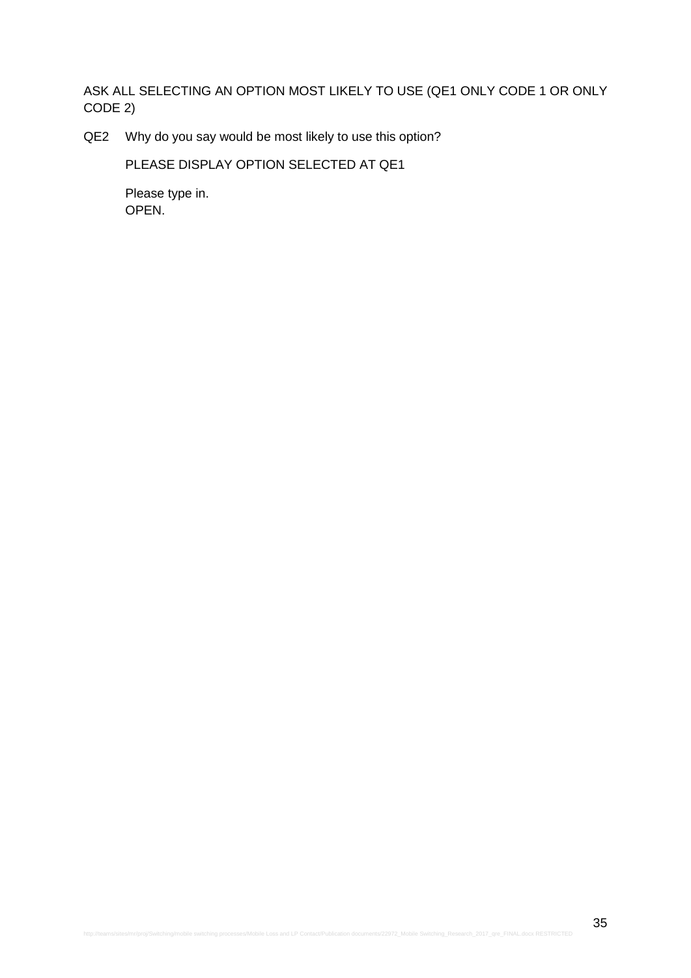ASK ALL SELECTING AN OPTION MOST LIKELY TO USE (QE1 ONLY CODE 1 OR ONLY CODE 2)

QE2 Why do you say would be most likely to use this option?

PLEASE DISPLAY OPTION SELECTED AT QE1

Please type in. OPEN.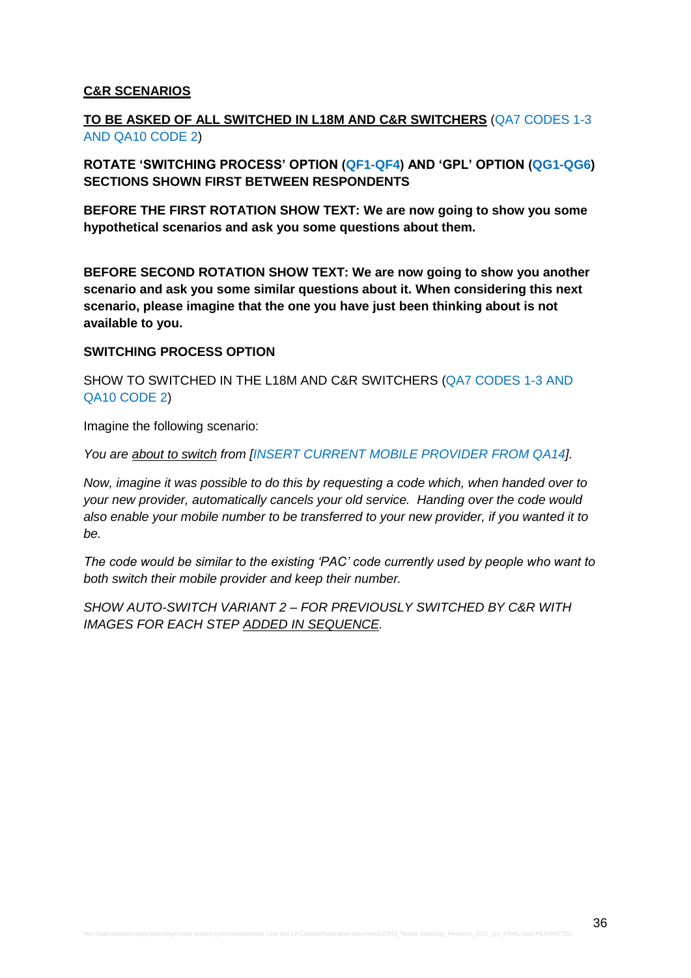# **C&R SCENARIOS**

# **TO BE ASKED OF ALL SWITCHED IN L18M AND C&R SWITCHERS** (QA7 CODES 1-3 AND QA10 CODE 2)

**ROTATE 'SWITCHING PROCESS' OPTION (QF1-QF4) AND 'GPL' OPTION (QG1-QG6) SECTIONS SHOWN FIRST BETWEEN RESPONDENTS**

**BEFORE THE FIRST ROTATION SHOW TEXT: We are now going to show you some hypothetical scenarios and ask you some questions about them.**

**BEFORE SECOND ROTATION SHOW TEXT: We are now going to show you another scenario and ask you some similar questions about it. When considering this next scenario, please imagine that the one you have just been thinking about is not available to you.**

### **SWITCHING PROCESS OPTION**

SHOW TO SWITCHED IN THE L18M AND C&R SWITCHERS (QA7 CODES 1-3 AND QA10 CODE 2)

Imagine the following scenario:

*You are about to switch from [INSERT CURRENT MOBILE PROVIDER FROM QA14].*

*Now, imagine it was possible to do this by requesting a code which, when handed over to your new provider, automatically cancels your old service. Handing over the code would also enable your mobile number to be transferred to your new provider, if you wanted it to be.*

*The code would be similar to the existing 'PAC' code currently used by people who want to both switch their mobile provider and keep their number.*

*SHOW AUTO-SWITCH VARIANT 2 – FOR PREVIOUSLY SWITCHED BY C&R WITH IMAGES FOR EACH STEP ADDED IN SEQUENCE.*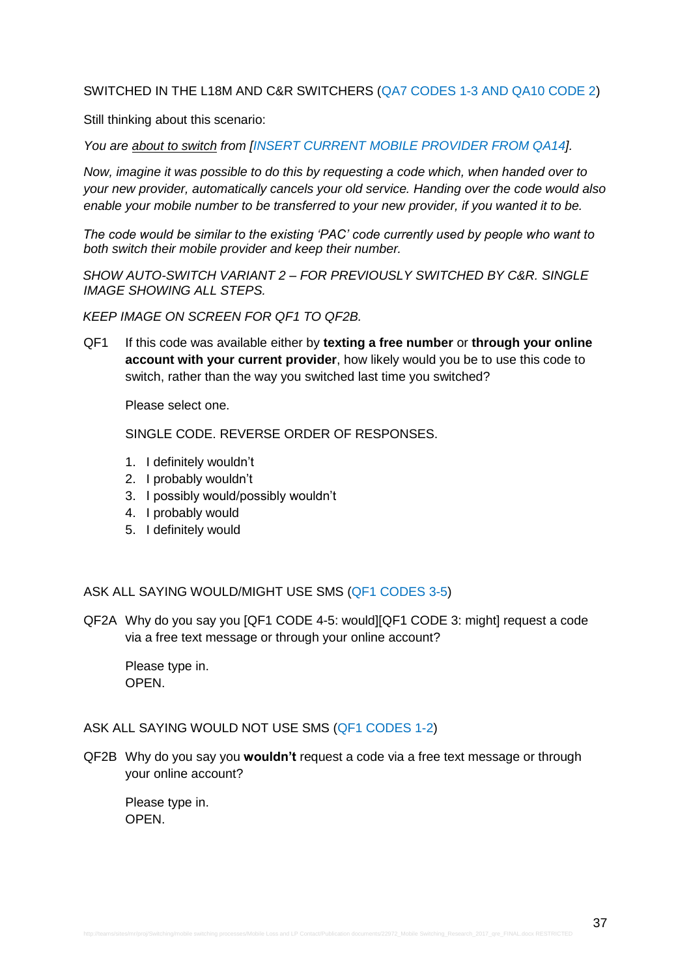### SWITCHED IN THE L18M AND C&R SWITCHERS (QA7 CODES 1-3 AND QA10 CODE 2)

Still thinking about this scenario:

*You are about to switch from [INSERT CURRENT MOBILE PROVIDER FROM QA14].*

*Now, imagine it was possible to do this by requesting a code which, when handed over to your new provider, automatically cancels your old service. Handing over the code would also*  enable your mobile number to be transferred to your new provider, if you wanted it to be.

*The code would be similar to the existing 'PAC' code currently used by people who want to both switch their mobile provider and keep their number.*

*SHOW AUTO-SWITCH VARIANT 2 – FOR PREVIOUSLY SWITCHED BY C&R. SINGLE IMAGE SHOWING ALL STEPS.*

*KEEP IMAGE ON SCREEN FOR QF1 TO QF2B.*

QF1 If this code was available either by **texting a free number** or **through your online account with your current provider**, how likely would you be to use this code to switch, rather than the way you switched last time you switched?

Please select one.

SINGLE CODE. REVERSE ORDER OF RESPONSES.

- 1. I definitely wouldn't
- 2. I probably wouldn't
- 3. I possibly would/possibly wouldn't
- 4. I probably would
- 5. I definitely would

ASK ALL SAYING WOULD/MIGHT USE SMS (QF1 CODES 3-5)

QF2A Why do you say you [QF1 CODE 4-5: would][QF1 CODE 3: might] request a code via a free text message or through your online account?

Please type in. **OPEN.** 

#### ASK ALL SAYING WOULD NOT USE SMS (QF1 CODES 1-2)

QF2B Why do you say you **wouldn't** request a code via a free text message or through your online account?

Please type in. OPEN.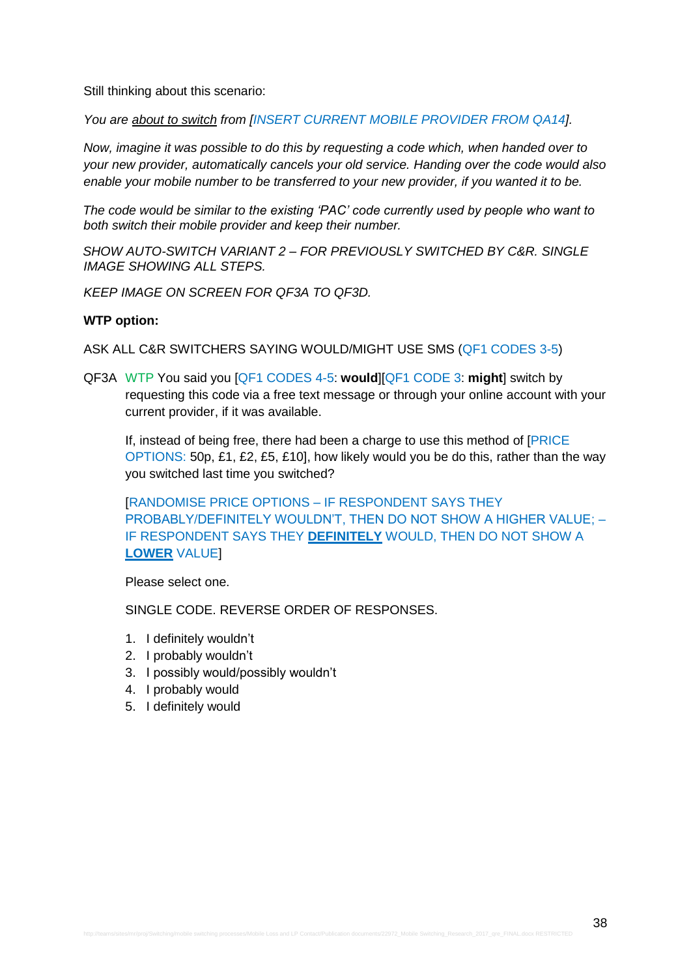Still thinking about this scenario:

*You are about to switch from [INSERT CURRENT MOBILE PROVIDER FROM QA14].*

*Now, imagine it was possible to do this by requesting a code which, when handed over to your new provider, automatically cancels your old service. Handing over the code would also enable your mobile number to be transferred to your new provider, if you wanted it to be.*

*The code would be similar to the existing 'PAC' code currently used by people who want to both switch their mobile provider and keep their number.*

*SHOW AUTO-SWITCH VARIANT 2 – FOR PREVIOUSLY SWITCHED BY C&R. SINGLE IMAGE SHOWING ALL STEPS.*

*KEEP IMAGE ON SCREEN FOR QF3A TO QF3D.*

#### **WTP option:**

ASK ALL C&R SWITCHERS SAYING WOULD/MIGHT USE SMS (QF1 CODES 3-5)

QF3A WTP You said you [QF1 CODES 4-5: **would**][QF1 CODE 3: **might**] switch by requesting this code via a free text message or through your online account with your current provider, if it was available.

If, instead of being free, there had been a charge to use this method of [PRICE OPTIONS: 50p, £1, £2, £5, £10], how likely would you be do this, rather than the way you switched last time you switched?

[RANDOMISE PRICE OPTIONS – IF RESPONDENT SAYS THEY PROBABLY/DEFINITELY WOULDN'T, THEN DO NOT SHOW A HIGHER VALUE; – IF RESPONDENT SAYS THEY **DEFINITELY** WOULD, THEN DO NOT SHOW A **LOWER** VALUE]

Please select one.

- 1. I definitely wouldn't
- 2. I probably wouldn't
- 3. I possibly would/possibly wouldn't
- 4. I probably would
- 5. I definitely would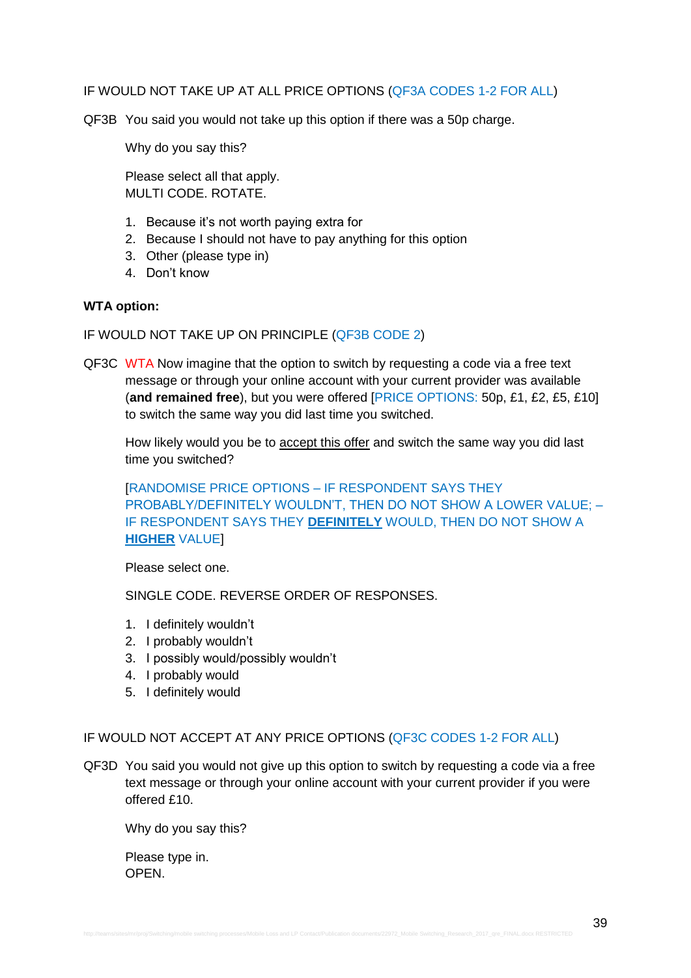### IF WOULD NOT TAKE UP AT ALL PRICE OPTIONS (QF3A CODES 1-2 FOR ALL)

QF3B You said you would not take up this option if there was a 50p charge.

Why do you say this?

Please select all that apply. MULTI CODE. ROTATE.

- 1. Because it's not worth paying extra for
- 2. Because I should not have to pay anything for this option
- 3. Other (please type in)
- 4. Don't know

#### **WTA option:**

IF WOULD NOT TAKE UP ON PRINCIPLE (QF3B CODE 2)

QF3C WTA Now imagine that the option to switch by requesting a code via a free text message or through your online account with your current provider was available (**and remained free**), but you were offered [PRICE OPTIONS: 50p, £1, £2, £5, £10] to switch the same way you did last time you switched.

How likely would you be to accept this offer and switch the same way you did last time you switched?

[RANDOMISE PRICE OPTIONS – IF RESPONDENT SAYS THEY PROBABLY/DEFINITELY WOULDN'T, THEN DO NOT SHOW A LOWER VALUE; – IF RESPONDENT SAYS THEY **DEFINITELY** WOULD, THEN DO NOT SHOW A **HIGHER** VALUE]

Please select one.

SINGLE CODE. REVERSE ORDER OF RESPONSES.

- 1. I definitely wouldn't
- 2. I probably wouldn't
- 3. I possibly would/possibly wouldn't
- 4. I probably would
- 5. I definitely would

### IF WOULD NOT ACCEPT AT ANY PRICE OPTIONS (QF3C CODES 1-2 FOR ALL)

QF3D You said you would not give up this option to switch by requesting a code via a free text message or through your online account with your current provider if you were offered £10.

Why do you say this?

Please type in. **OPEN**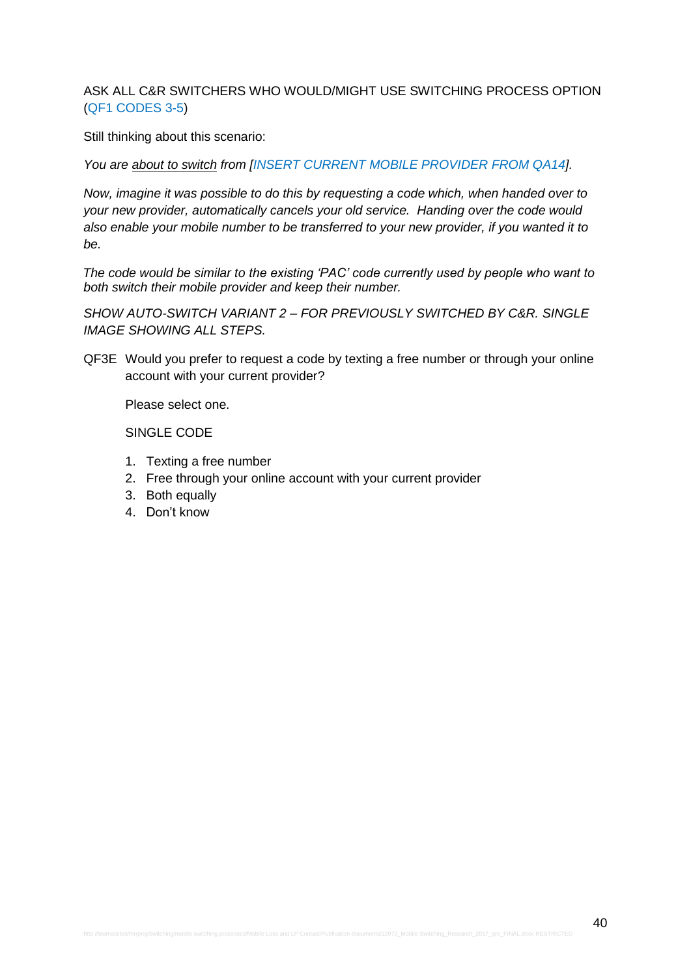ASK ALL C&R SWITCHERS WHO WOULD/MIGHT USE SWITCHING PROCESS OPTION (QF1 CODES 3-5)

Still thinking about this scenario:

*You are about to switch from [INSERT CURRENT MOBILE PROVIDER FROM QA14].*

*Now, imagine it was possible to do this by requesting a code which, when handed over to your new provider, automatically cancels your old service. Handing over the code would also enable your mobile number to be transferred to your new provider, if you wanted it to be.*

*The code would be similar to the existing 'PAC' code currently used by people who want to both switch their mobile provider and keep their number.*

*SHOW AUTO-SWITCH VARIANT 2 – FOR PREVIOUSLY SWITCHED BY C&R. SINGLE IMAGE SHOWING ALL STEPS.*

QF3E Would you prefer to request a code by texting a free number or through your online account with your current provider?

Please select one.

SINGLE CODE

- 1. Texting a free number
- 2. Free through your online account with your current provider
- 3. Both equally
- 4. Don't know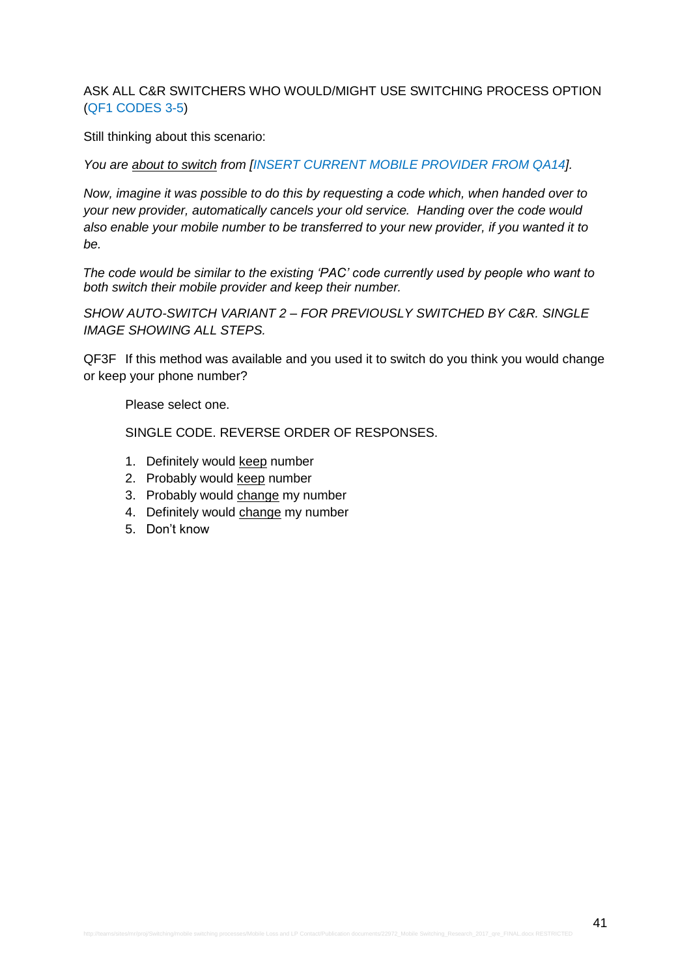ASK ALL C&R SWITCHERS WHO WOULD/MIGHT USE SWITCHING PROCESS OPTION (QF1 CODES 3-5)

Still thinking about this scenario:

*You are about to switch from [INSERT CURRENT MOBILE PROVIDER FROM QA14].*

*Now, imagine it was possible to do this by requesting a code which, when handed over to your new provider, automatically cancels your old service. Handing over the code would also enable your mobile number to be transferred to your new provider, if you wanted it to be.*

*The code would be similar to the existing 'PAC' code currently used by people who want to both switch their mobile provider and keep their number.*

*SHOW AUTO-SWITCH VARIANT 2 – FOR PREVIOUSLY SWITCHED BY C&R. SINGLE IMAGE SHOWING ALL STEPS.*

QF3F If this method was available and you used it to switch do you think you would change or keep your phone number?

Please select one.

- 1. Definitely would keep number
- 2. Probably would keep number
- 3. Probably would change my number
- 4. Definitely would change my number
- 5. Don't know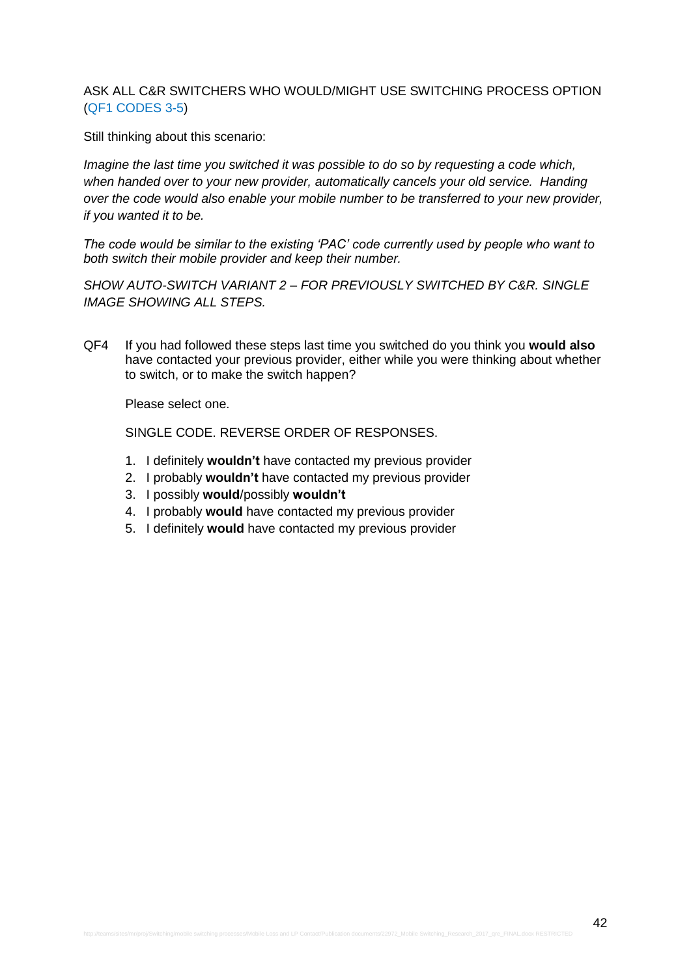### ASK ALL C&R SWITCHERS WHO WOULD/MIGHT USE SWITCHING PROCESS OPTION (QF1 CODES 3-5)

Still thinking about this scenario:

*Imagine the last time you switched it was possible to do so by requesting a code which, when handed over to your new provider, automatically cancels your old service. Handing over the code would also enable your mobile number to be transferred to your new provider, if you wanted it to be.*

*The code would be similar to the existing 'PAC' code currently used by people who want to both switch their mobile provider and keep their number.*

*SHOW AUTO-SWITCH VARIANT 2 – FOR PREVIOUSLY SWITCHED BY C&R. SINGLE IMAGE SHOWING ALL STEPS.*

QF4 If you had followed these steps last time you switched do you think you **would also** have contacted your previous provider, either while you were thinking about whether to switch, or to make the switch happen?

Please select one.

- 1. I definitely **wouldn't** have contacted my previous provider
- 2. I probably **wouldn't** have contacted my previous provider
- 3. I possibly **would**/possibly **wouldn't**
- 4. I probably **would** have contacted my previous provider
- 5. I definitely **would** have contacted my previous provider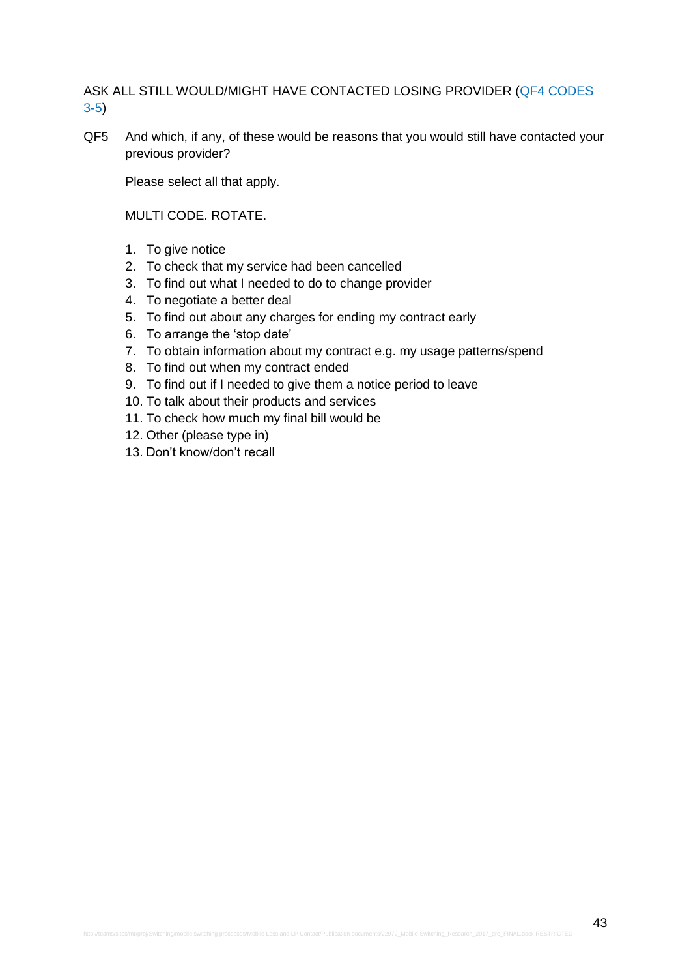ASK ALL STILL WOULD/MIGHT HAVE CONTACTED LOSING PROVIDER (QF4 CODES 3-5)

QF5 And which, if any, of these would be reasons that you would still have contacted your previous provider?

Please select all that apply.

MULTI CODE. ROTATE.

- 1. To give notice
- 2. To check that my service had been cancelled
- 3. To find out what I needed to do to change provider
- 4. To negotiate a better deal
- 5. To find out about any charges for ending my contract early
- 6. To arrange the 'stop date'
- 7. To obtain information about my contract e.g. my usage patterns/spend
- 8. To find out when my contract ended
- 9. To find out if I needed to give them a notice period to leave
- 10. To talk about their products and services
- 11. To check how much my final bill would be
- 12. Other (please type in)
- 13. Don't know/don't recall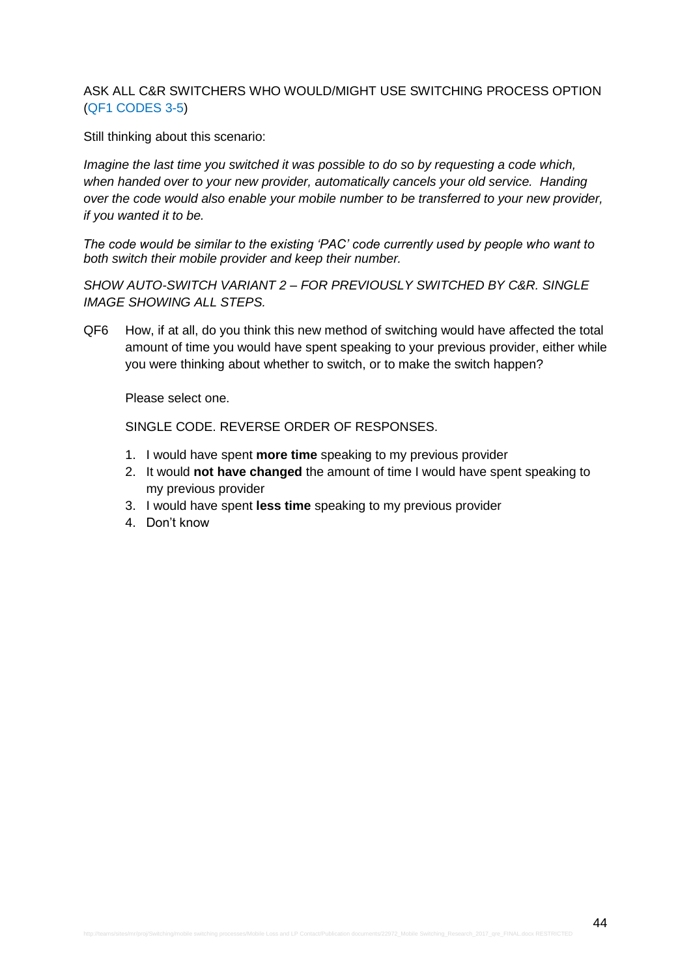## ASK ALL C&R SWITCHERS WHO WOULD/MIGHT USE SWITCHING PROCESS OPTION (QF1 CODES 3-5)

Still thinking about this scenario:

*Imagine the last time you switched it was possible to do so by requesting a code which, when handed over to your new provider, automatically cancels your old service. Handing over the code would also enable your mobile number to be transferred to your new provider, if you wanted it to be.*

*The code would be similar to the existing 'PAC' code currently used by people who want to both switch their mobile provider and keep their number.*

*SHOW AUTO-SWITCH VARIANT 2 – FOR PREVIOUSLY SWITCHED BY C&R. SINGLE IMAGE SHOWING ALL STEPS.*

QF6 How, if at all, do you think this new method of switching would have affected the total amount of time you would have spent speaking to your previous provider, either while you were thinking about whether to switch, or to make the switch happen?

Please select one.

- 1. I would have spent **more time** speaking to my previous provider
- 2. It would **not have changed** the amount of time I would have spent speaking to my previous provider
- 3. I would have spent **less time** speaking to my previous provider
- 4. Don't know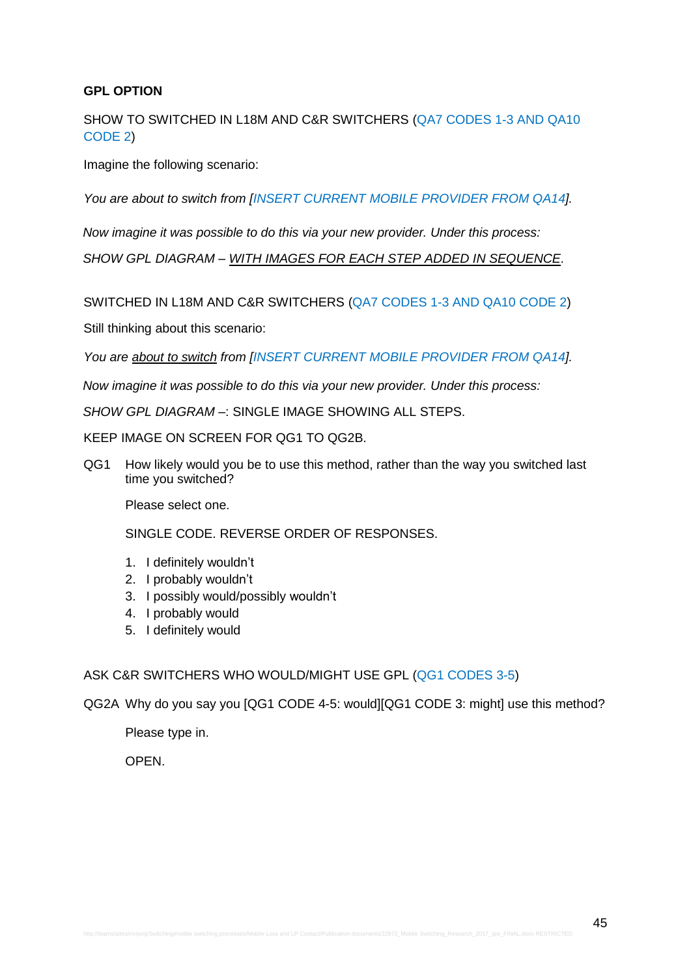# **GPL OPTION**

SHOW TO SWITCHED IN L18M AND C&R SWITCHERS (QA7 CODES 1-3 AND QA10 CODE 2)

Imagine the following scenario:

*You are about to switch from [INSERT CURRENT MOBILE PROVIDER FROM QA14].* 

*Now imagine it was possible to do this via your new provider. Under this process:*

*SHOW GPL DIAGRAM – WITH IMAGES FOR EACH STEP ADDED IN SEQUENCE.*

SWITCHED IN L18M AND C&R SWITCHERS (QA7 CODES 1-3 AND QA10 CODE 2)

Still thinking about this scenario:

*You are about to switch from [INSERT CURRENT MOBILE PROVIDER FROM QA14].* 

*Now imagine it was possible to do this via your new provider. Under this process:*

*SHOW GPL DIAGRAM –*: SINGLE IMAGE SHOWING ALL STEPS.

KEEP IMAGE ON SCREEN FOR QG1 TO QG2B.

QG1 How likely would you be to use this method, rather than the way you switched last time you switched?

Please select one.

SINGLE CODE. REVERSE ORDER OF RESPONSES.

- 1. I definitely wouldn't
- 2. I probably wouldn't
- 3. I possibly would/possibly wouldn't
- 4. I probably would
- 5. I definitely would

### ASK C&R SWITCHERS WHO WOULD/MIGHT USE GPL (QG1 CODES 3-5)

QG2A Why do you say you [QG1 CODE 4-5: would][QG1 CODE 3: might] use this method?

Please type in.

**OPEN**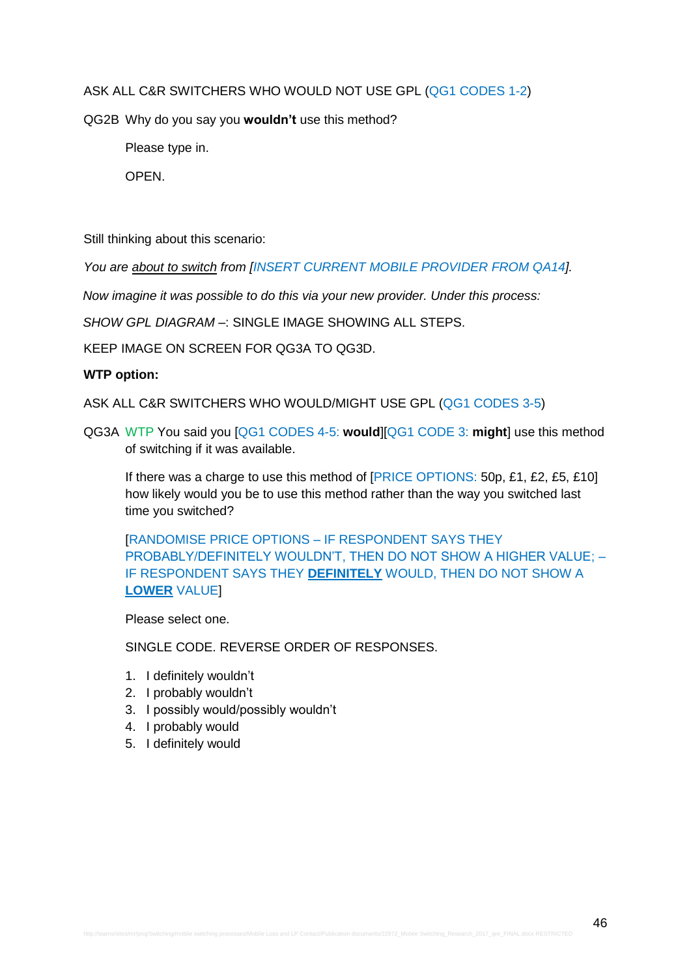ASK ALL C&R SWITCHERS WHO WOULD NOT USE GPL (QG1 CODES 1-2)

QG2B Why do you say you **wouldn't** use this method?

Please type in.

OPEN.

Still thinking about this scenario:

*You are about to switch from [INSERT CURRENT MOBILE PROVIDER FROM QA14].* 

*Now imagine it was possible to do this via your new provider. Under this process:*

*SHOW GPL DIAGRAM –*: SINGLE IMAGE SHOWING ALL STEPS.

KEEP IMAGE ON SCREEN FOR QG3A TO QG3D.

## **WTP option:**

ASK ALL C&R SWITCHERS WHO WOULD/MIGHT USE GPL (QG1 CODES 3-5)

QG3A WTP You said you [QG1 CODES 4-5: **would**][QG1 CODE 3: **might**] use this method of switching if it was available.

If there was a charge to use this method of **[PRICE OPTIONS: 50p, £1, £2, £5, £10]** how likely would you be to use this method rather than the way you switched last time you switched?

[RANDOMISE PRICE OPTIONS – IF RESPONDENT SAYS THEY PROBABLY/DEFINITELY WOULDN'T, THEN DO NOT SHOW A HIGHER VALUE; – IF RESPONDENT SAYS THEY **DEFINITELY** WOULD, THEN DO NOT SHOW A **LOWER** VALUE]

Please select one.

- 1. I definitely wouldn't
- 2. I probably wouldn't
- 3. I possibly would/possibly wouldn't
- 4. I probably would
- 5. I definitely would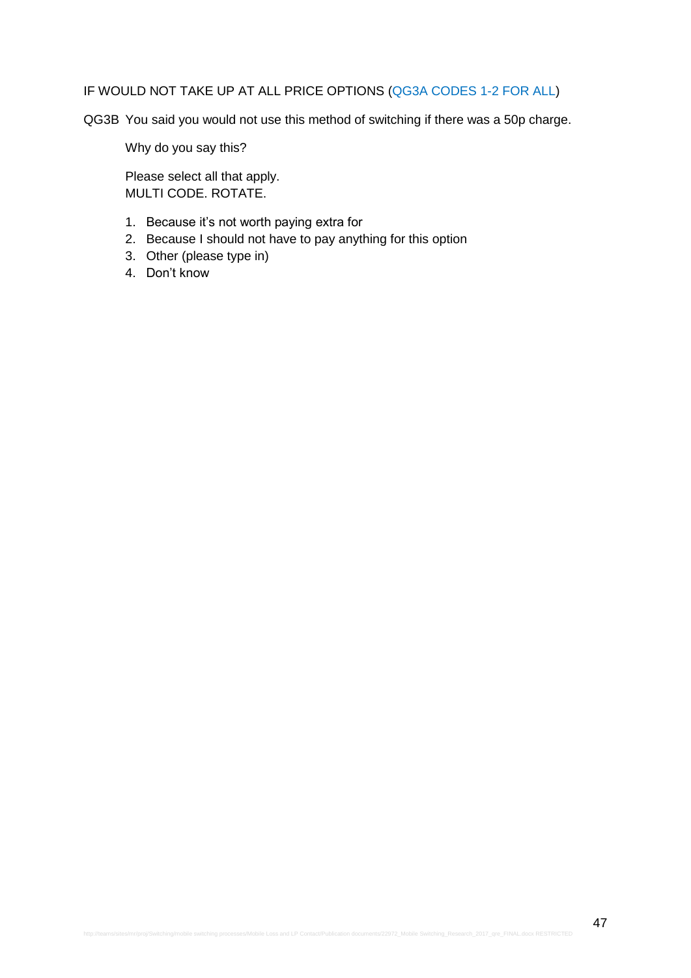# IF WOULD NOT TAKE UP AT ALL PRICE OPTIONS (QG3A CODES 1-2 FOR ALL)

QG3B You said you would not use this method of switching if there was a 50p charge.

Why do you say this?

Please select all that apply. MULTI CODE. ROTATE.

- 1. Because it's not worth paying extra for
- 2. Because I should not have to pay anything for this option
- 3. Other (please type in)
- 4. Don't know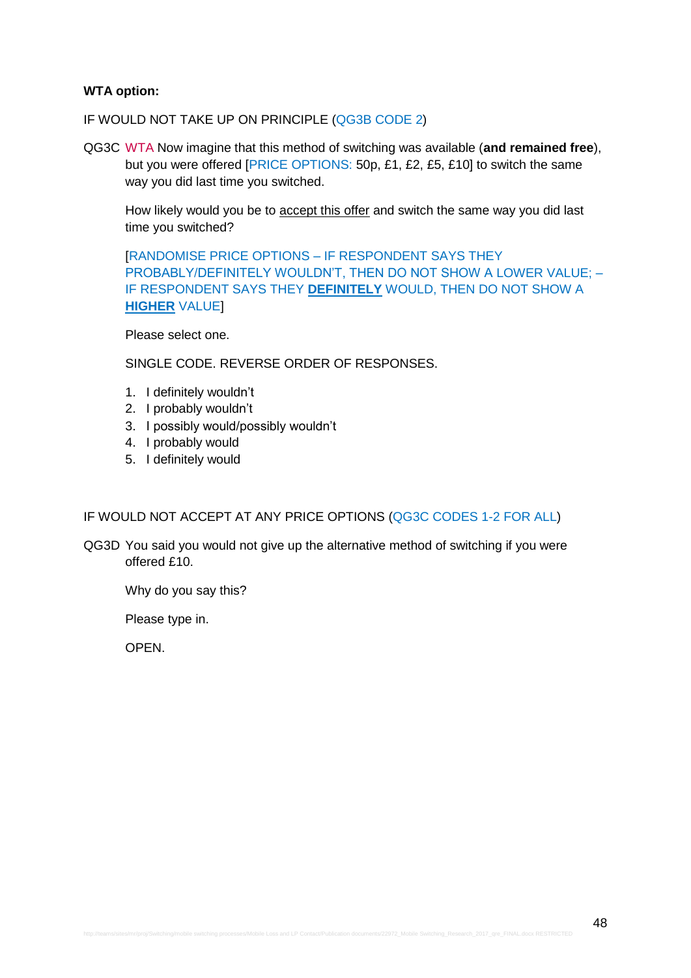### **WTA option:**

IF WOULD NOT TAKE UP ON PRINCIPLE (QG3B CODE 2)

QG3C WTA Now imagine that this method of switching was available (**and remained free**), but you were offered [PRICE OPTIONS: 50p, £1, £2, £5, £10] to switch the same way you did last time you switched.

How likely would you be to accept this offer and switch the same way you did last time you switched?

[RANDOMISE PRICE OPTIONS – IF RESPONDENT SAYS THEY PROBABLY/DEFINITELY WOULDN'T, THEN DO NOT SHOW A LOWER VALUE; – IF RESPONDENT SAYS THEY **DEFINITELY** WOULD, THEN DO NOT SHOW A **HIGHER** VALUE]

Please select one.

SINGLE CODE. REVERSE ORDER OF RESPONSES.

- 1. I definitely wouldn't
- 2. I probably wouldn't
- 3. I possibly would/possibly wouldn't
- 4. I probably would
- 5. I definitely would

### IF WOULD NOT ACCEPT AT ANY PRICE OPTIONS (QG3C CODES 1-2 FOR ALL)

QG3D You said you would not give up the alternative method of switching if you were offered £10.

Why do you say this?

Please type in.

OPEN.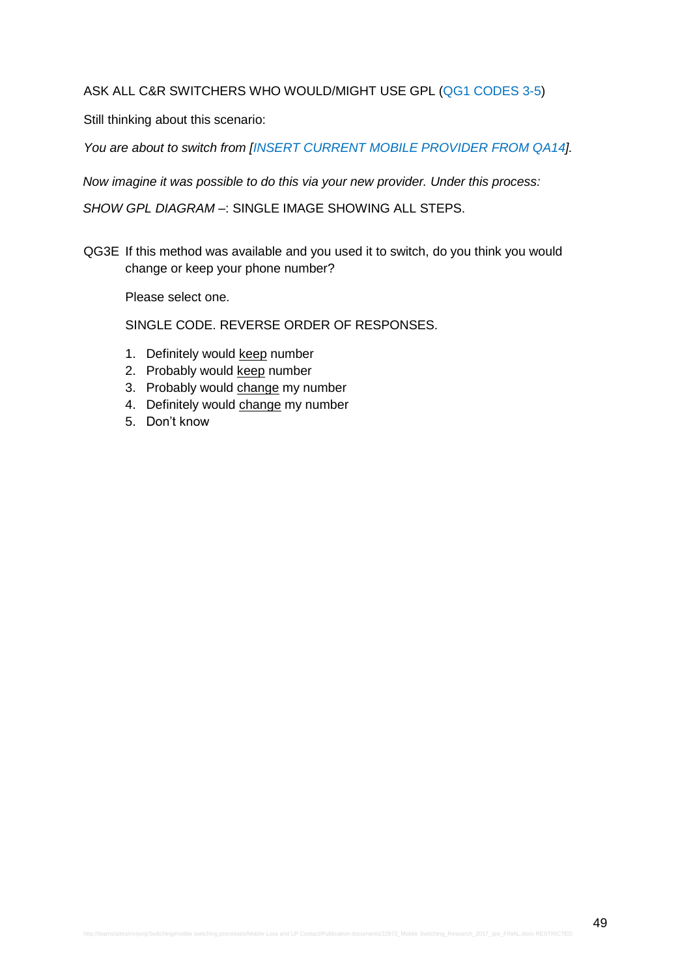### ASK ALL C&R SWITCHERS WHO WOULD/MIGHT USE GPL (QG1 CODES 3-5)

Still thinking about this scenario:

You are about to switch from [INSERT CURRENT MOBILE PROVIDER FROM QA14].

*Now imagine it was possible to do this via your new provider. Under this process:*

*SHOW GPL DIAGRAM –*: SINGLE IMAGE SHOWING ALL STEPS.

QG3E If this method was available and you used it to switch, do you think you would change or keep your phone number?

Please select one.

- 1. Definitely would keep number
- 2. Probably would keep number
- 3. Probably would change my number
- 4. Definitely would change my number
- 5. Don't know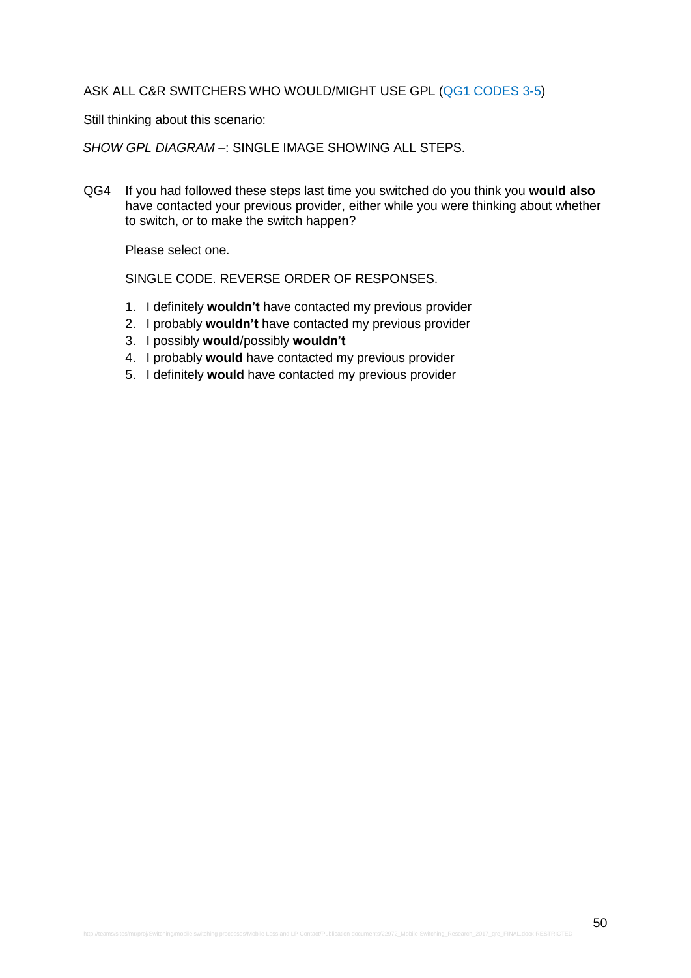#### ASK ALL C&R SWITCHERS WHO WOULD/MIGHT USE GPL (QG1 CODES 3-5)

Still thinking about this scenario:

*SHOW GPL DIAGRAM –*: SINGLE IMAGE SHOWING ALL STEPS.

QG4 If you had followed these steps last time you switched do you think you **would also** have contacted your previous provider, either while you were thinking about whether to switch, or to make the switch happen?

Please select one.

- 1. I definitely **wouldn't** have contacted my previous provider
- 2. I probably **wouldn't** have contacted my previous provider
- 3. I possibly **would**/possibly **wouldn't**
- 4. I probably **would** have contacted my previous provider
- 5. I definitely **would** have contacted my previous provider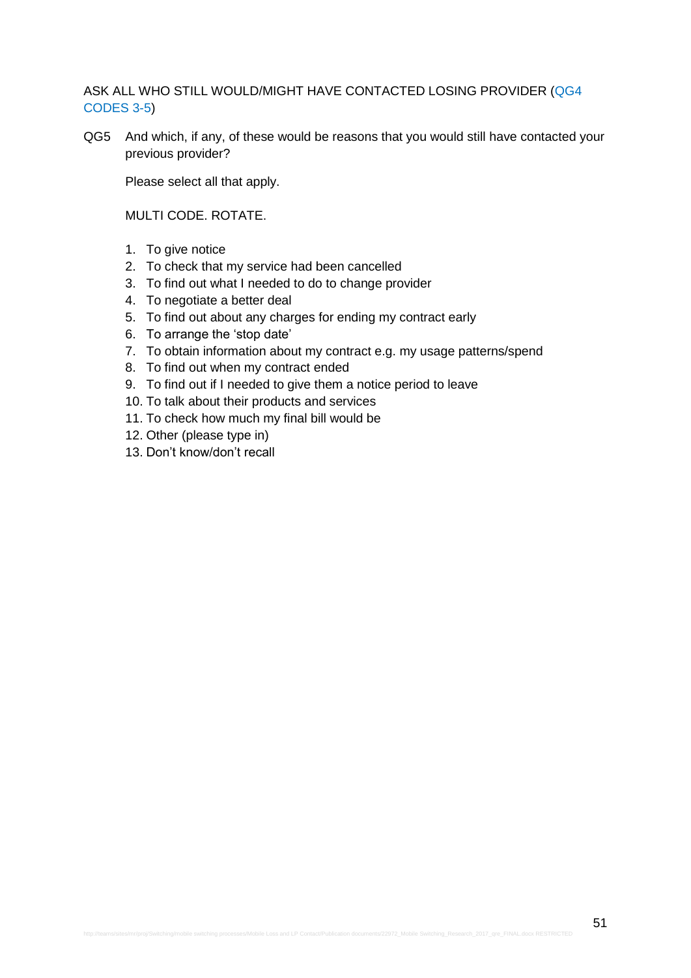## ASK ALL WHO STILL WOULD/MIGHT HAVE CONTACTED LOSING PROVIDER (QG4 CODES 3-5)

QG5 And which, if any, of these would be reasons that you would still have contacted your previous provider?

Please select all that apply.

MULTI CODE. ROTATE.

- 1. To give notice
- 2. To check that my service had been cancelled
- 3. To find out what I needed to do to change provider
- 4. To negotiate a better deal
- 5. To find out about any charges for ending my contract early
- 6. To arrange the 'stop date'
- 7. To obtain information about my contract e.g. my usage patterns/spend
- 8. To find out when my contract ended
- 9. To find out if I needed to give them a notice period to leave
- 10. To talk about their products and services
- 11. To check how much my final bill would be
- 12. Other (please type in)
- 13. Don't know/don't recall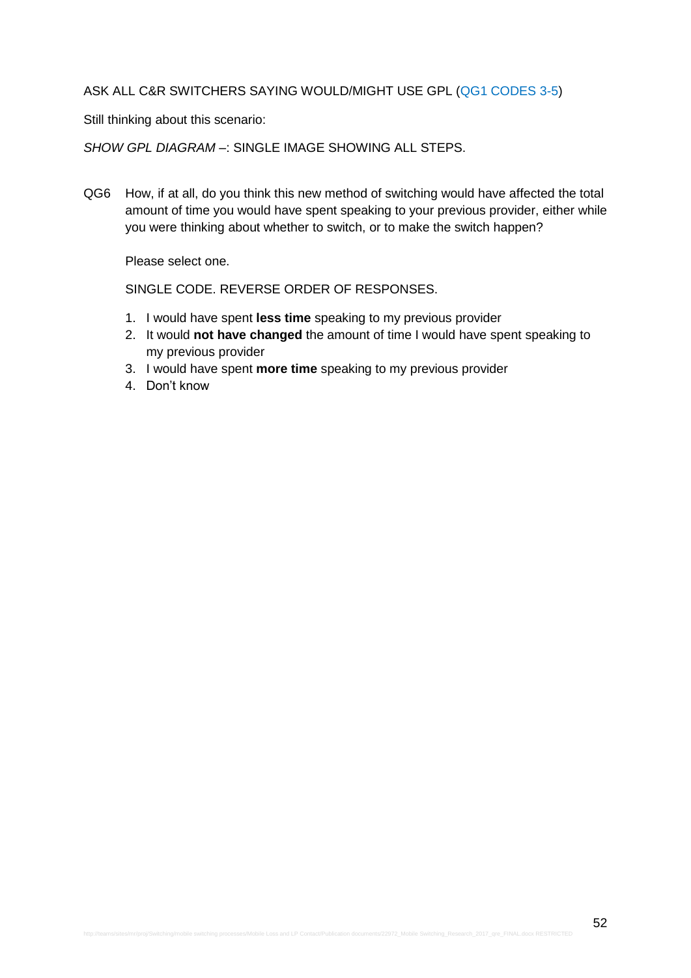### ASK ALL C&R SWITCHERS SAYING WOULD/MIGHT USE GPL (QG1 CODES 3-5)

Still thinking about this scenario:

*SHOW GPL DIAGRAM –*: SINGLE IMAGE SHOWING ALL STEPS.

QG6 How, if at all, do you think this new method of switching would have affected the total amount of time you would have spent speaking to your previous provider, either while you were thinking about whether to switch, or to make the switch happen?

Please select one.

- 1. I would have spent **less time** speaking to my previous provider
- 2. It would **not have changed** the amount of time I would have spent speaking to my previous provider
- 3. I would have spent **more time** speaking to my previous provider
- 4. Don't know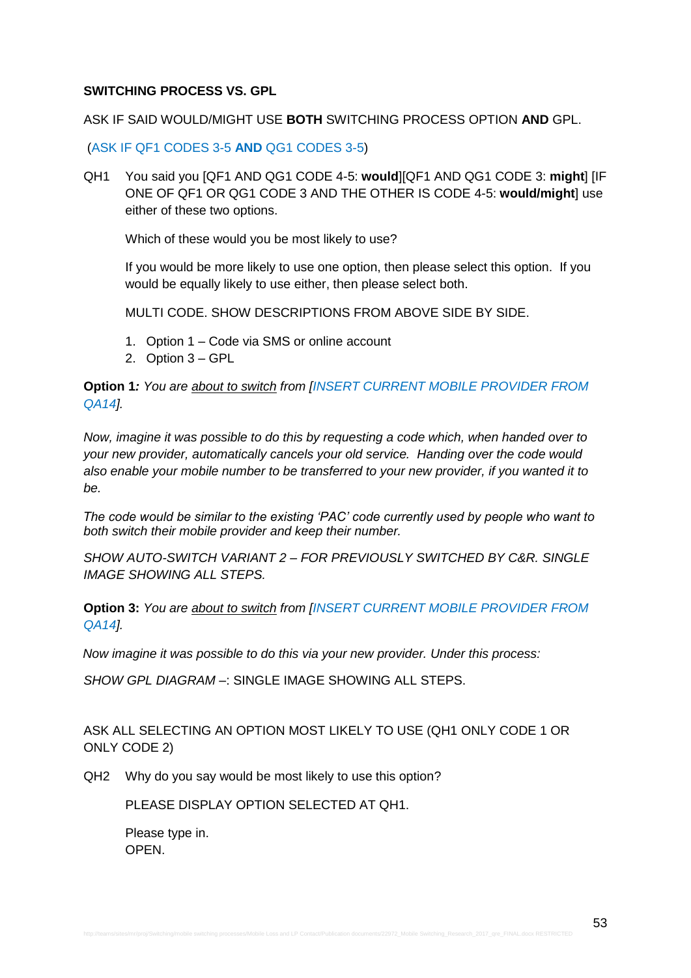### **SWITCHING PROCESS VS. GPL**

#### ASK IF SAID WOULD/MIGHT USE **BOTH** SWITCHING PROCESS OPTION **AND** GPL.

(ASK IF QF1 CODES 3-5 **AND** QG1 CODES 3-5)

QH1 You said you [QF1 AND QG1 CODE 4-5: **would**][QF1 AND QG1 CODE 3: **might**] [IF ONE OF QF1 OR QG1 CODE 3 AND THE OTHER IS CODE 4-5: **would/might**] use either of these two options.

Which of these would you be most likely to use?

If you would be more likely to use one option, then please select this option. If you would be equally likely to use either, then please select both.

MULTI CODE. SHOW DESCRIPTIONS FROM ABOVE SIDE BY SIDE.

- 1. Option 1 Code via SMS or online account
- 2. Option 3 GPL

**Option 1***: You are about to switch from [INSERT CURRENT MOBILE PROVIDER FROM QA14].*

*Now, imagine it was possible to do this by requesting a code which, when handed over to your new provider, automatically cancels your old service. Handing over the code would also enable your mobile number to be transferred to your new provider, if you wanted it to be.*

*The code would be similar to the existing 'PAC' code currently used by people who want to both switch their mobile provider and keep their number.*

*SHOW AUTO-SWITCH VARIANT 2 – FOR PREVIOUSLY SWITCHED BY C&R. SINGLE IMAGE SHOWING ALL STEPS.*

**Option 3:** *You are about to switch from [INSERT CURRENT MOBILE PROVIDER FROM QA14].* 

*Now imagine it was possible to do this via your new provider. Under this process:*

*SHOW GPL DIAGRAM –*: SINGLE IMAGE SHOWING ALL STEPS.

ASK ALL SELECTING AN OPTION MOST LIKELY TO USE (QH1 ONLY CODE 1 OR ONLY CODE 2)

QH2 Why do you say would be most likely to use this option?

PLEASE DISPLAY OPTION SELECTED AT QH1.

Please type in. OPEN.